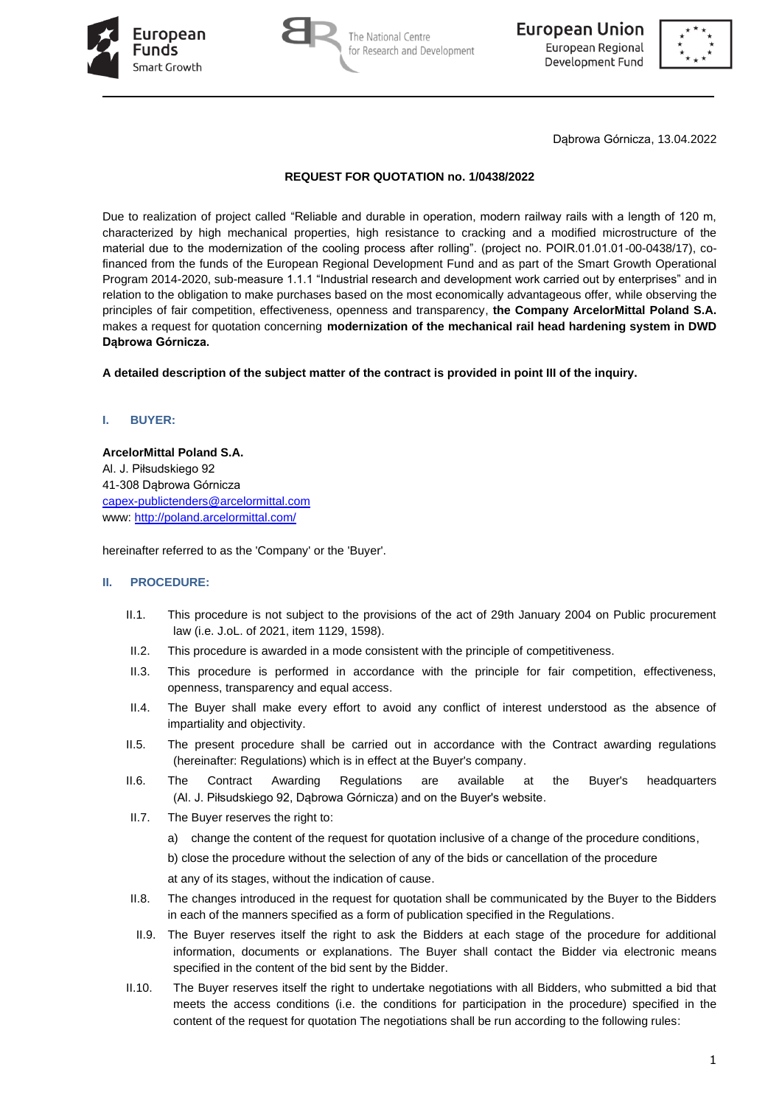





Dąbrowa Górnicza, 13.04.2022

# **REQUEST FOR QUOTATION no. 1/0438/2022**

Due to realization of project called "Reliable and durable in operation, modern railway rails with a length of 120 m, characterized by high mechanical properties, high resistance to cracking and a modified microstructure of the material due to the modernization of the cooling process after rolling". (project no. POIR.01.01.01-00-0438/17), cofinanced from the funds of the European Regional Development Fund and as part of the Smart Growth Operational Program 2014-2020, sub-measure 1.1.1 "Industrial research and development work carried out by enterprises" and in relation to the obligation to make purchases based on the most economically advantageous offer, while observing the principles of fair competition, effectiveness, openness and transparency, **the Company ArcelorMittal Poland S.A.**  makes a request for quotation concerning **modernization of the mechanical rail head hardening system in DWD Dąbrowa Górnicza.**

**A detailed description of the subject matter of the contract is provided in point III of the inquiry.**

### **I. BUYER:**

**ArcelorMittal Poland S.A.**  Al. J. Piłsudskiego 92 41-308 Dąbrowa Górnicza [capex-publictenders@arcelormittal.com](mailto:capex-publictenders@arcelormittal.com) www:<http://poland.arcelormittal.com/>

hereinafter referred to as the 'Company' or the 'Buyer'.

#### **II. PROCEDURE:**

- II.1. This procedure is not subject to the provisions of the act of 29th January 2004 on Public procurement law (i.e. J.oL. of 2021, item 1129, 1598).
- II.2. This procedure is awarded in a mode consistent with the principle of competitiveness.
- II.3. This procedure is performed in accordance with the principle for fair competition, effectiveness, openness, transparency and equal access.
- II.4. The Buyer shall make every effort to avoid any conflict of interest understood as the absence of impartiality and objectivity.
- II.5. The present procedure shall be carried out in accordance with the Contract awarding regulations (hereinafter: Regulations) which is in effect at the Buyer's company.
- II.6. The Contract Awarding Regulations are available at the Buyer's headquarters (Al. J. Piłsudskiego 92, Dąbrowa Górnicza) and on the Buyer's website.
- II.7. The Buyer reserves the right to:
	- a) change the content of the request for quotation inclusive of a change of the procedure conditions,

b) close the procedure without the selection of any of the bids or cancellation of the procedure

at any of its stages, without the indication of cause.

- II.8. The changes introduced in the request for quotation shall be communicated by the Buyer to the Bidders in each of the manners specified as a form of publication specified in the Regulations.
- II.9. The Buyer reserves itself the right to ask the Bidders at each stage of the procedure for additional information, documents or explanations. The Buyer shall contact the Bidder via electronic means specified in the content of the bid sent by the Bidder.
- II.10. The Buyer reserves itself the right to undertake negotiations with all Bidders, who submitted a bid that meets the access conditions (i.e. the conditions for participation in the procedure) specified in the content of the request for quotation The negotiations shall be run according to the following rules: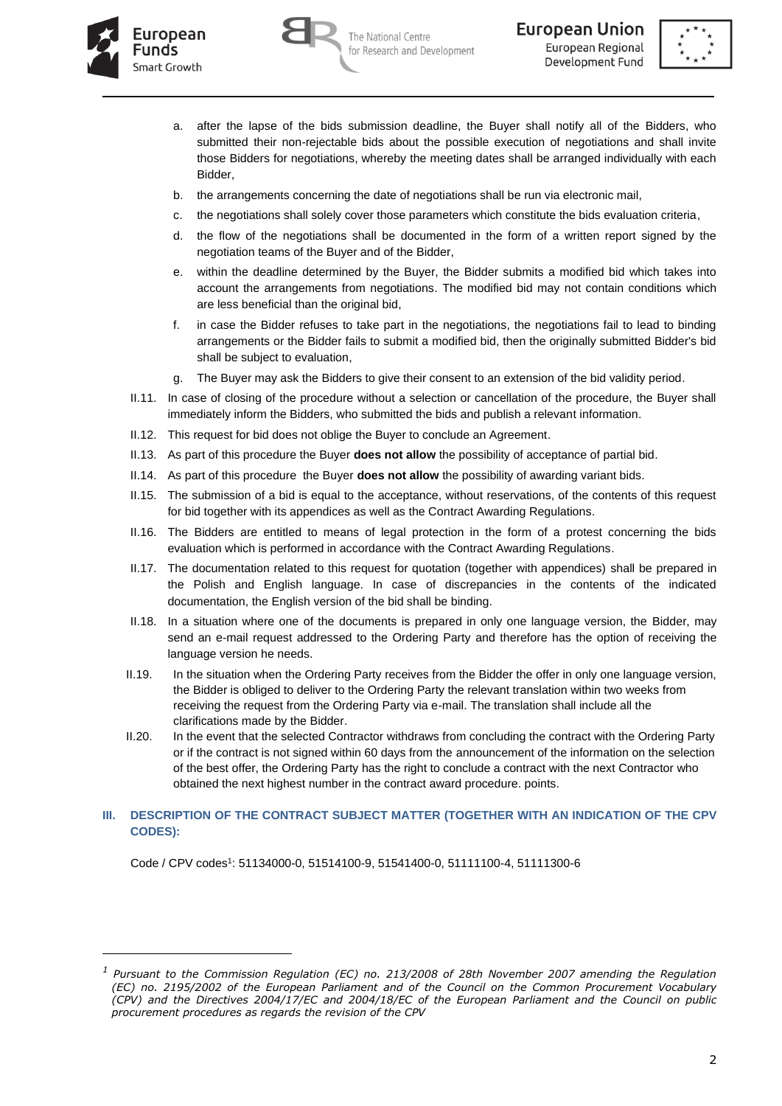





- a. after the lapse of the bids submission deadline, the Buyer shall notify all of the Bidders, who submitted their non-rejectable bids about the possible execution of negotiations and shall invite those Bidders for negotiations, whereby the meeting dates shall be arranged individually with each Bidder,
- b. the arrangements concerning the date of negotiations shall be run via electronic mail,
- c. the negotiations shall solely cover those parameters which constitute the bids evaluation criteria,
- d. the flow of the negotiations shall be documented in the form of a written report signed by the negotiation teams of the Buyer and of the Bidder,
- e. within the deadline determined by the Buyer, the Bidder submits a modified bid which takes into account the arrangements from negotiations. The modified bid may not contain conditions which are less beneficial than the original bid,
- f. in case the Bidder refuses to take part in the negotiations, the negotiations fail to lead to binding arrangements or the Bidder fails to submit a modified bid, then the originally submitted Bidder's bid shall be subject to evaluation,
- The Buyer may ask the Bidders to give their consent to an extension of the bid validity period.
- II.11. In case of closing of the procedure without a selection or cancellation of the procedure, the Buyer shall immediately inform the Bidders, who submitted the bids and publish a relevant information.
- II.12. This request for bid does not oblige the Buyer to conclude an Agreement.
- II.13. As part of this procedure the Buyer **does not allow** the possibility of acceptance of partial bid.
- II.14. As part of this procedure the Buyer **does not allow** the possibility of awarding variant bids.
- II.15. The submission of a bid is equal to the acceptance, without reservations, of the contents of this request for bid together with its appendices as well as the Contract Awarding Regulations.
- II.16. The Bidders are entitled to means of legal protection in the form of a protest concerning the bids evaluation which is performed in accordance with the Contract Awarding Regulations.
- II.17. The documentation related to this request for quotation (together with appendices) shall be prepared in the Polish and English language. In case of discrepancies in the contents of the indicated documentation, the English version of the bid shall be binding.
- II.18. In a situation where one of the documents is prepared in only one language version, the Bidder, may send an e-mail request addressed to the Ordering Party and therefore has the option of receiving the language version he needs.
- II.19. In the situation when the Ordering Party receives from the Bidder the offer in only one language version, the Bidder is obliged to deliver to the Ordering Party the relevant translation within two weeks from receiving the request from the Ordering Party via e-mail. The translation shall include all the clarifications made by the Bidder.
- II.20. In the event that the selected Contractor withdraws from concluding the contract with the Ordering Party or if the contract is not signed within 60 days from the announcement of the information on the selection of the best offer, the Ordering Party has the right to conclude a contract with the next Contractor who obtained the next highest number in the contract award procedure. points.

#### **III. DESCRIPTION OF THE CONTRACT SUBJECT MATTER (TOGETHER WITH AN INDICATION OF THE CPV CODES):**

Code / CPV codes<sup>1</sup>: 51134000-0, 51514100-9, 51541400-0, 51111100-4, 51111300-6

*<sup>1</sup> Pursuant to the Commission Regulation (EC) no. 213/2008 of 28th November 2007 amending the Regulation (EC) no. 2195/2002 of the European Parliament and of the Council on the Common Procurement Vocabulary (CPV) and the Directives 2004/17/EC and 2004/18/EC of the European Parliament and the Council on public procurement procedures as regards the revision of the CPV*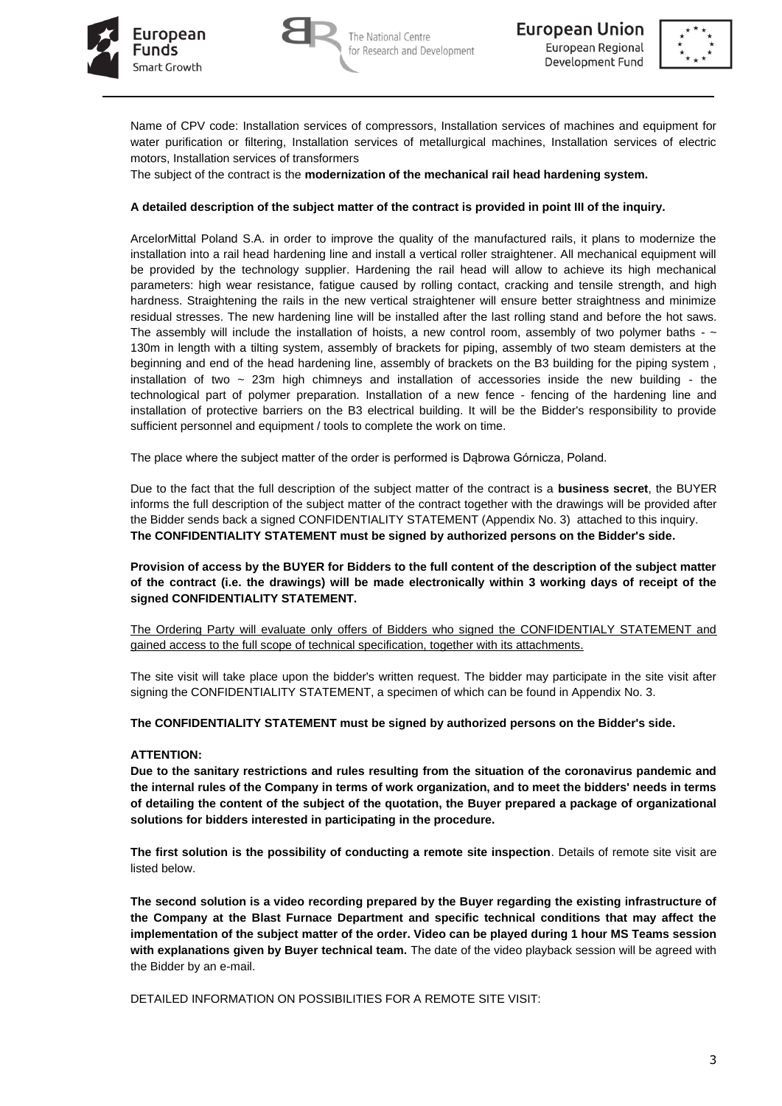





Name of CPV code: Installation services of compressors, Installation services of machines and equipment for water purification or filtering, Installation services of metallurgical machines, Installation services of electric motors, Installation services of transformers

The subject of the contract is the **modernization of the mechanical rail head hardening system.**

### **A detailed description of the subject matter of the contract is provided in point III of the inquiry.**

ArcelorMittal Poland S.A. in order to improve the quality of the manufactured rails, it plans to modernize the installation into a rail head hardening line and install a vertical roller straightener. All mechanical equipment will be provided by the technology supplier. Hardening the rail head will allow to achieve its high mechanical parameters: high wear resistance, fatigue caused by rolling contact, cracking and tensile strength, and high hardness. Straightening the rails in the new vertical straightener will ensure better straightness and minimize residual stresses. The new hardening line will be installed after the last rolling stand and before the hot saws. The assembly will include the installation of hoists, a new control room, assembly of two polymer baths -  $\sim$ 130m in length with a tilting system, assembly of brackets for piping, assembly of two steam demisters at the beginning and end of the head hardening line, assembly of brackets on the B3 building for the piping system , installation of two  $\sim$  23m high chimneys and installation of accessories inside the new building - the technological part of polymer preparation. Installation of a new fence - fencing of the hardening line and installation of protective barriers on the B3 electrical building. It will be the Bidder's responsibility to provide sufficient personnel and equipment / tools to complete the work on time.

The place where the subject matter of the order is performed is Dąbrowa Górnicza, Poland.

Due to the fact that the full description of the subject matter of the contract is a **business secret**, the BUYER informs the full description of the subject matter of the contract together with the drawings will be provided after the Bidder sends back a signed CONFIDENTIALITY STATEMENT (Appendix No. 3) attached to this inquiry. **The CONFIDENTIALITY STATEMENT must be signed by authorized persons on the Bidder's side.**

**Provision of access by the BUYER for Bidders to the full content of the description of the subject matter of the contract (i.e. the drawings) will be made electronically within 3 working days of receipt of the signed CONFIDENTIALITY STATEMENT.**

The Ordering Party will evaluate only offers of Bidders who signed the CONFIDENTIALY STATEMENT and gained access to the full scope of technical specification, together with its attachments.

The site visit will take place upon the bidder's written request. The bidder may participate in the site visit after signing the CONFIDENTIALITY STATEMENT, a specimen of which can be found in Appendix No. 3.

**The CONFIDENTIALITY STATEMENT must be signed by authorized persons on the Bidder's side.**

## **ATTENTION:**

**Due to the sanitary restrictions and rules resulting from the situation of the coronavirus pandemic and the internal rules of the Company in terms of work organization, and to meet the bidders' needs in terms of detailing the content of the subject of the quotation, the Buyer prepared a package of organizational solutions for bidders interested in participating in the procedure.**

**The first solution is the possibility of conducting a remote site inspection**. Details of remote site visit are listed below.

**The second solution is a video recording prepared by the Buyer regarding the existing infrastructure of the Company at the Blast Furnace Department and specific technical conditions that may affect the implementation of the subject matter of the order. Video can be played during 1 hour MS Teams session with explanations given by Buyer technical team.** The date of the video playback session will be agreed with the Bidder by an e-mail.

DETAILED INFORMATION ON POSSIBILITIES FOR A REMOTE SITE VISIT: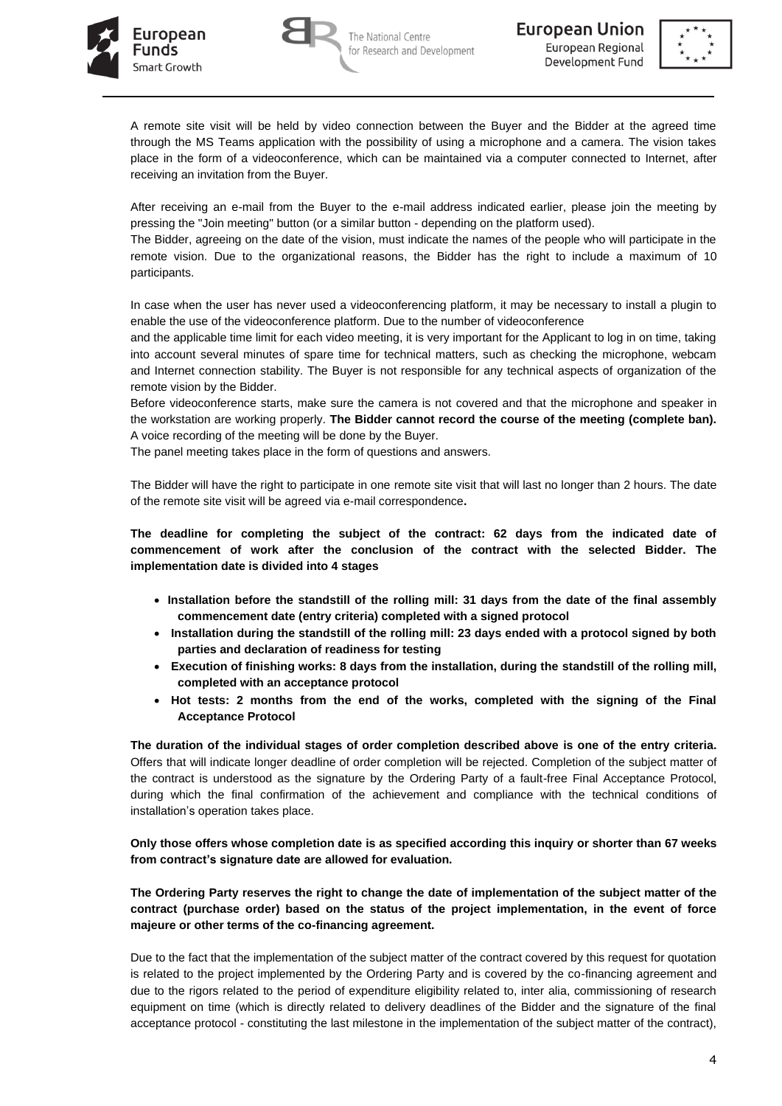





A remote site visit will be held by video connection between the Buyer and the Bidder at the agreed time through the MS Teams application with the possibility of using a microphone and a camera. The vision takes place in the form of a videoconference, which can be maintained via a computer connected to Internet, after receiving an invitation from the Buyer.

After receiving an e-mail from the Buyer to the e-mail address indicated earlier, please join the meeting by pressing the "Join meeting" button (or a similar button - depending on the platform used).

The Bidder, agreeing on the date of the vision, must indicate the names of the people who will participate in the remote vision. Due to the organizational reasons, the Bidder has the right to include a maximum of 10 participants.

In case when the user has never used a videoconferencing platform, it may be necessary to install a plugin to enable the use of the videoconference platform. Due to the number of videoconference

and the applicable time limit for each video meeting, it is very important for the Applicant to log in on time, taking into account several minutes of spare time for technical matters, such as checking the microphone, webcam and Internet connection stability. The Buyer is not responsible for any technical aspects of organization of the remote vision by the Bidder.

Before videoconference starts, make sure the camera is not covered and that the microphone and speaker in the workstation are working properly. **The Bidder cannot record the course of the meeting (complete ban).** A voice recording of the meeting will be done by the Buyer.

The panel meeting takes place in the form of questions and answers.

The Bidder will have the right to participate in one remote site visit that will last no longer than 2 hours. The date of the remote site visit will be agreed via e-mail correspondence**.** 

**The deadline for completing the subject of the contract: 62 days from the indicated date of commencement of work after the conclusion of the contract with the selected Bidder. The implementation date is divided into 4 stages**

- **Installation before the standstill of the rolling mill: 31 days from the date of the final assembly commencement date (entry criteria) completed with a signed protocol**
- **Installation during the standstill of the rolling mill: 23 days ended with a protocol signed by both parties and declaration of readiness for testing**
- **Execution of finishing works: 8 days from the installation, during the standstill of the rolling mill, completed with an acceptance protocol**
- **Hot tests: 2 months from the end of the works, completed with the signing of the Final Acceptance Protocol**

**The duration of the individual stages of order completion described above is one of the entry criteria.**  Offers that will indicate longer deadline of order completion will be rejected. Completion of the subject matter of the contract is understood as the signature by the Ordering Party of a fault-free Final Acceptance Protocol, during which the final confirmation of the achievement and compliance with the technical conditions of installation's operation takes place.

**Only those offers whose completion date is as specified according this inquiry or shorter than 67 weeks from contract's signature date are allowed for evaluation.** 

**The Ordering Party reserves the right to change the date of implementation of the subject matter of the contract (purchase order) based on the status of the project implementation, in the event of force majeure or other terms of the co-financing agreement.**

Due to the fact that the implementation of the subject matter of the contract covered by this request for quotation is related to the project implemented by the Ordering Party and is covered by the co-financing agreement and due to the rigors related to the period of expenditure eligibility related to, inter alia, commissioning of research equipment on time (which is directly related to delivery deadlines of the Bidder and the signature of the final acceptance protocol - constituting the last milestone in the implementation of the subject matter of the contract),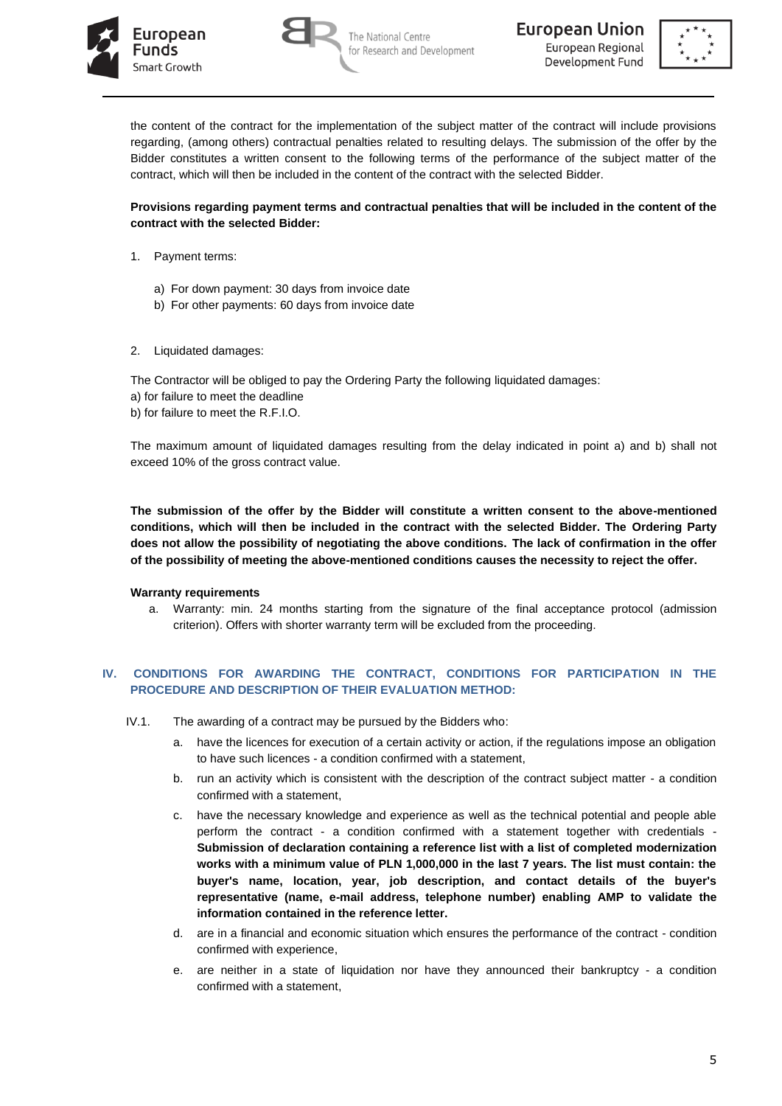





the content of the contract for the implementation of the subject matter of the contract will include provisions regarding, (among others) contractual penalties related to resulting delays. The submission of the offer by the Bidder constitutes a written consent to the following terms of the performance of the subject matter of the contract, which will then be included in the content of the contract with the selected Bidder.

### **Provisions regarding payment terms and contractual penalties that will be included in the content of the contract with the selected Bidder:**

- 1. Payment terms:
	- a) For down payment: 30 days from invoice date
	- b) For other payments: 60 days from invoice date
- 2. Liquidated damages:

The Contractor will be obliged to pay the Ordering Party the following liquidated damages: a) for failure to meet the deadline b) for failure to meet the R.F.I.O.

The maximum amount of liquidated damages resulting from the delay indicated in point a) and b) shall not exceed 10% of the gross contract value.

**The submission of the offer by the Bidder will constitute a written consent to the above-mentioned conditions, which will then be included in the contract with the selected Bidder. The Ordering Party does not allow the possibility of negotiating the above conditions. The lack of confirmation in the offer of the possibility of meeting the above-mentioned conditions causes the necessity to reject the offer.**

#### **Warranty requirements**

a. Warranty: min. 24 months starting from the signature of the final acceptance protocol (admission criterion). Offers with shorter warranty term will be excluded from the proceeding.

## **IV. CONDITIONS FOR AWARDING THE CONTRACT, CONDITIONS FOR PARTICIPATION IN THE PROCEDURE AND DESCRIPTION OF THEIR EVALUATION METHOD:**

- IV.1. The awarding of a contract may be pursued by the Bidders who:
	- a. have the licences for execution of a certain activity or action, if the regulations impose an obligation to have such licences - a condition confirmed with a statement,
	- b. run an activity which is consistent with the description of the contract subject matter a condition confirmed with a statement,
	- c. have the necessary knowledge and experience as well as the technical potential and people able perform the contract - a condition confirmed with a statement together with credentials - **Submission of declaration containing a reference list with a list of completed modernization works with a minimum value of PLN 1,000,000 in the last 7 years. The list must contain: the buyer's name, location, year, job description, and contact details of the buyer's representative (name, e-mail address, telephone number) enabling AMP to validate the information contained in the reference letter.**
	- d. are in a financial and economic situation which ensures the performance of the contract condition confirmed with experience,
	- e. are neither in a state of liquidation nor have they announced their bankruptcy a condition confirmed with a statement,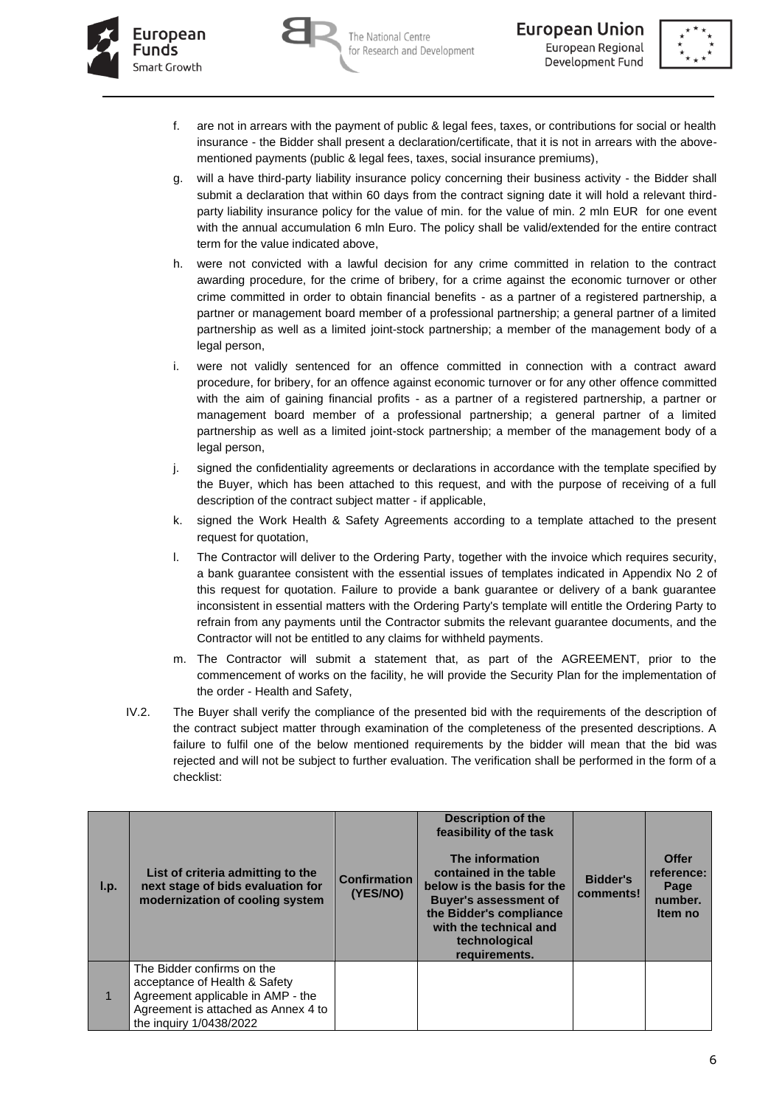





- f. are not in arrears with the payment of public & legal fees, taxes, or contributions for social or health insurance - the Bidder shall present a declaration/certificate, that it is not in arrears with the abovementioned payments (public & legal fees, taxes, social insurance premiums),
- g. will a have third-party liability insurance policy concerning their business activity the Bidder shall submit a declaration that within 60 days from the contract signing date it will hold a relevant thirdparty liability insurance policy for the value of min. for the value of min. 2 mln EUR for one event with the annual accumulation 6 mln Euro. The policy shall be valid/extended for the entire contract term for the value indicated above,
- h. were not convicted with a lawful decision for any crime committed in relation to the contract awarding procedure, for the crime of bribery, for a crime against the economic turnover or other crime committed in order to obtain financial benefits - as a partner of a registered partnership, a partner or management board member of a professional partnership; a general partner of a limited partnership as well as a limited joint-stock partnership; a member of the management body of a legal person,
- i. were not validly sentenced for an offence committed in connection with a contract award procedure, for bribery, for an offence against economic turnover or for any other offence committed with the aim of gaining financial profits - as a partner of a registered partnership, a partner or management board member of a professional partnership; a general partner of a limited partnership as well as a limited joint-stock partnership; a member of the management body of a legal person,
- j. signed the confidentiality agreements or declarations in accordance with the template specified by the Buyer, which has been attached to this request, and with the purpose of receiving of a full description of the contract subject matter - if applicable,
- k. signed the Work Health & Safety Agreements according to a template attached to the present request for quotation,
- l. The Contractor will deliver to the Ordering Party, together with the invoice which requires security, a bank guarantee consistent with the essential issues of templates indicated in Appendix No 2 of this request for quotation. Failure to provide a bank guarantee or delivery of a bank guarantee inconsistent in essential matters with the Ordering Party's template will entitle the Ordering Party to refrain from any payments until the Contractor submits the relevant guarantee documents, and the Contractor will not be entitled to any claims for withheld payments.
- m. The Contractor will submit a statement that, as part of the AGREEMENT, prior to the commencement of works on the facility, he will provide the Security Plan for the implementation of the order - Health and Safety,
- IV.2. The Buyer shall verify the compliance of the presented bid with the requirements of the description of the contract subject matter through examination of the completeness of the presented descriptions. A failure to fulfil one of the below mentioned requirements by the bidder will mean that the bid was rejected and will not be subject to further evaluation. The verification shall be performed in the form of a checklist:

| l.p. | List of criteria admitting to the<br>next stage of bids evaluation for<br>modernization of cooling system                                                          | <b>Confirmation</b><br>(YES/NO) | <b>Description of the</b><br>feasibility of the task<br>The information<br>contained in the table<br>below is the basis for the<br><b>Buyer's assessment of</b><br>the Bidder's compliance<br>with the technical and<br>technological<br>requirements. | <b>Bidder's</b><br>comments! | <b>Offer</b><br>reference:<br>Page<br>number.<br>Item no |
|------|--------------------------------------------------------------------------------------------------------------------------------------------------------------------|---------------------------------|--------------------------------------------------------------------------------------------------------------------------------------------------------------------------------------------------------------------------------------------------------|------------------------------|----------------------------------------------------------|
|      | The Bidder confirms on the<br>acceptance of Health & Safety<br>Agreement applicable in AMP - the<br>Agreement is attached as Annex 4 to<br>the inquiry 1/0438/2022 |                                 |                                                                                                                                                                                                                                                        |                              |                                                          |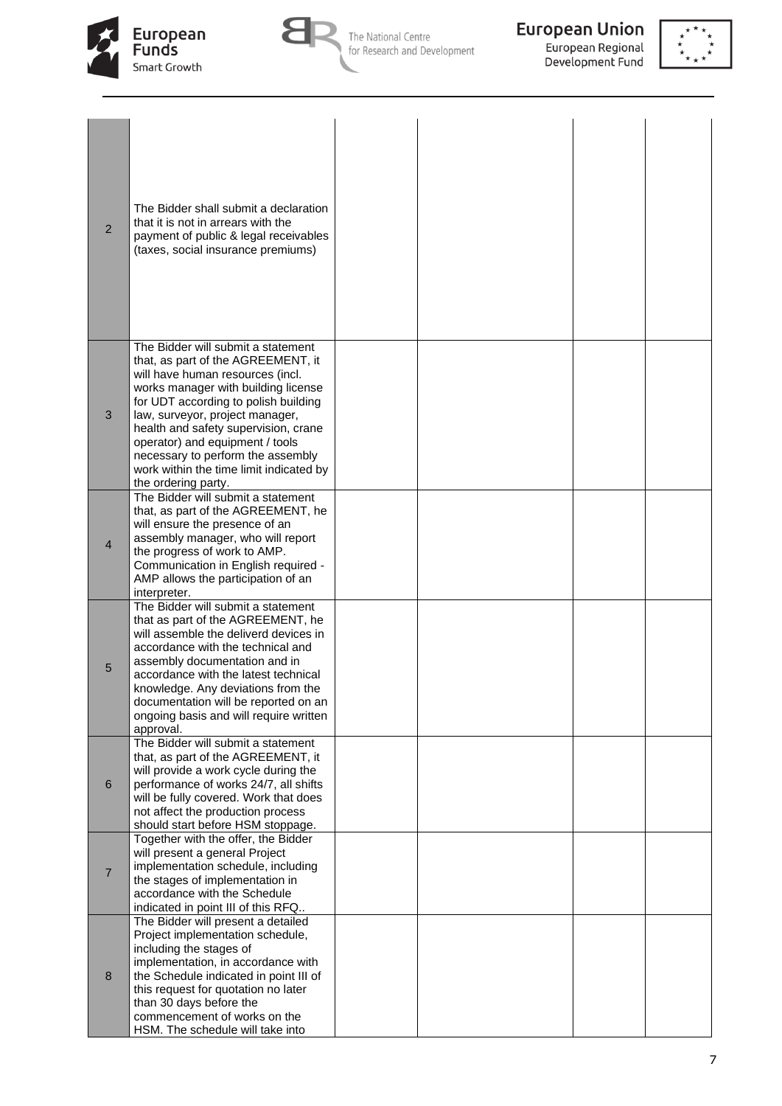





| $\overline{2}$ | The Bidder shall submit a declaration<br>that it is not in arrears with the<br>payment of public & legal receivables<br>(taxes, social insurance premiums)                                                                                                                                                                                                                                                       |  |  |
|----------------|------------------------------------------------------------------------------------------------------------------------------------------------------------------------------------------------------------------------------------------------------------------------------------------------------------------------------------------------------------------------------------------------------------------|--|--|
| $\mathfrak{B}$ | The Bidder will submit a statement<br>that, as part of the AGREEMENT, it<br>will have human resources (incl.<br>works manager with building license<br>for UDT according to polish building<br>law, surveyor, project manager,<br>health and safety supervision, crane<br>operator) and equipment / tools<br>necessary to perform the assembly<br>work within the time limit indicated by<br>the ordering party. |  |  |
| 4              | The Bidder will submit a statement<br>that, as part of the AGREEMENT, he<br>will ensure the presence of an<br>assembly manager, who will report<br>the progress of work to AMP.<br>Communication in English required -<br>AMP allows the participation of an<br>interpreter.                                                                                                                                     |  |  |
| 5              | The Bidder will submit a statement<br>that as part of the AGREEMENT, he<br>will assemble the deliverd devices in<br>accordance with the technical and<br>assembly documentation and in<br>accordance with the latest technical<br>knowledge. Any deviations from the<br>documentation will be reported on an<br>ongoing basis and will require written<br>approval.                                              |  |  |
| 6              | The Bidder will submit a statement<br>that, as part of the AGREEMENT, it<br>will provide a work cycle during the<br>performance of works 24/7, all shifts<br>will be fully covered. Work that does<br>not affect the production process<br>should start before HSM stoppage.                                                                                                                                     |  |  |
| $\overline{7}$ | Together with the offer, the Bidder<br>will present a general Project<br>implementation schedule, including<br>the stages of implementation in<br>accordance with the Schedule<br>indicated in point III of this RFQ                                                                                                                                                                                             |  |  |
| 8              | The Bidder will present a detailed<br>Project implementation schedule,<br>including the stages of<br>implementation, in accordance with<br>the Schedule indicated in point III of<br>this request for quotation no later<br>than 30 days before the<br>commencement of works on the<br>HSM. The schedule will take into                                                                                          |  |  |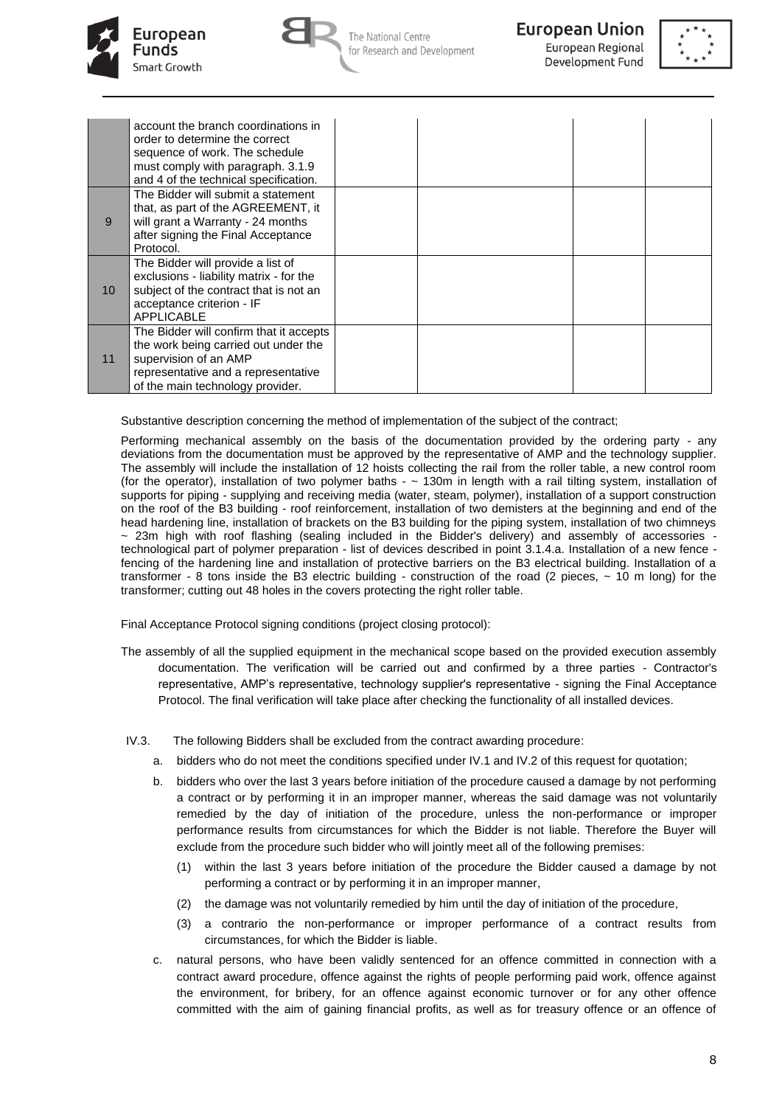







|                 | account the branch coordinations in<br>order to determine the correct<br>sequence of work. The schedule<br>must comply with paragraph. 3.1.9<br>and 4 of the technical specification. |  |  |
|-----------------|---------------------------------------------------------------------------------------------------------------------------------------------------------------------------------------|--|--|
| 9               | The Bidder will submit a statement<br>that, as part of the AGREEMENT, it<br>will grant a Warranty - 24 months<br>after signing the Final Acceptance<br>Protocol.                      |  |  |
| 10 <sup>°</sup> | The Bidder will provide a list of<br>exclusions - liability matrix - for the<br>subject of the contract that is not an<br>acceptance criterion - IF<br><b>APPLICABLE</b>              |  |  |
| 11              | The Bidder will confirm that it accepts<br>the work being carried out under the<br>supervision of an AMP<br>representative and a representative<br>of the main technology provider.   |  |  |

Substantive description concerning the method of implementation of the subject of the contract;

Performing mechanical assembly on the basis of the documentation provided by the ordering party - any deviations from the documentation must be approved by the representative of AMP and the technology supplier. The assembly will include the installation of 12 hoists collecting the rail from the roller table, a new control room (for the operator), installation of two polymer baths  $\sim$  130m in length with a rail tilting system, installation of supports for piping - supplying and receiving media (water, steam, polymer), installation of a support construction on the roof of the B3 building - roof reinforcement, installation of two demisters at the beginning and end of the head hardening line, installation of brackets on the B3 building for the piping system, installation of two chimneys ~ 23m high with roof flashing (sealing included in the Bidder's delivery) and assembly of accessories technological part of polymer preparation - list of devices described in point 3.1.4.a. Installation of a new fence fencing of the hardening line and installation of protective barriers on the B3 electrical building. Installation of a transformer - 8 tons inside the B3 electric building - construction of the road (2 pieces, ~ 10 m long) for the transformer; cutting out 48 holes in the covers protecting the right roller table.

Final Acceptance Protocol signing conditions (project closing protocol):

- The assembly of all the supplied equipment in the mechanical scope based on the provided execution assembly documentation. The verification will be carried out and confirmed by a three parties - Contractor's representative, AMP's representative, technology supplier's representative - signing the Final Acceptance Protocol. The final verification will take place after checking the functionality of all installed devices.
- IV.3. The following Bidders shall be excluded from the contract awarding procedure:
	- a. bidders who do not meet the conditions specified under IV.1 and IV.2 of this request for quotation;
	- b. bidders who over the last 3 years before initiation of the procedure caused a damage by not performing a contract or by performing it in an improper manner, whereas the said damage was not voluntarily remedied by the day of initiation of the procedure, unless the non-performance or improper performance results from circumstances for which the Bidder is not liable. Therefore the Buyer will exclude from the procedure such bidder who will jointly meet all of the following premises:
		- (1) within the last 3 years before initiation of the procedure the Bidder caused a damage by not performing a contract or by performing it in an improper manner,
		- (2) the damage was not voluntarily remedied by him until the day of initiation of the procedure,
		- (3) a contrario the non-performance or improper performance of a contract results from circumstances, for which the Bidder is liable.
	- c. natural persons, who have been validly sentenced for an offence committed in connection with a contract award procedure, offence against the rights of people performing paid work, offence against the environment, for bribery, for an offence against economic turnover or for any other offence committed with the aim of gaining financial profits, as well as for treasury offence or an offence of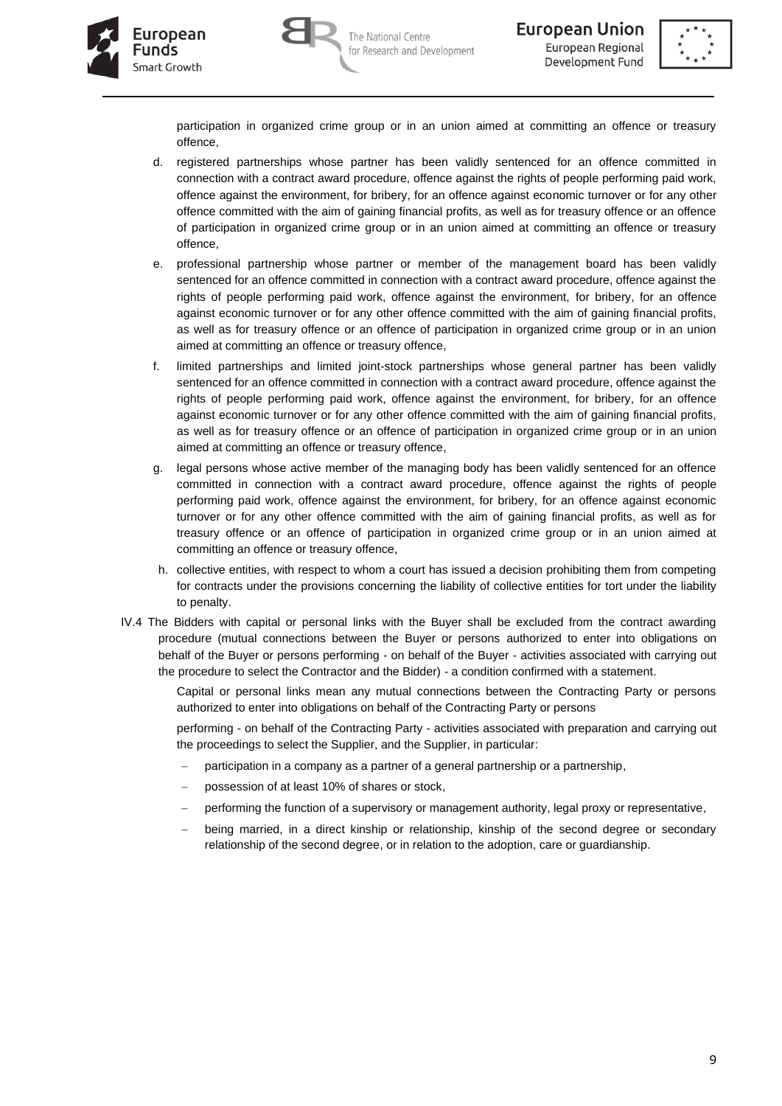





participation in organized crime group or in an union aimed at committing an offence or treasury offence,

- d. registered partnerships whose partner has been validly sentenced for an offence committed in connection with a contract award procedure, offence against the rights of people performing paid work, offence against the environment, for bribery, for an offence against economic turnover or for any other offence committed with the aim of gaining financial profits, as well as for treasury offence or an offence of participation in organized crime group or in an union aimed at committing an offence or treasury offence,
- e. professional partnership whose partner or member of the management board has been validly sentenced for an offence committed in connection with a contract award procedure, offence against the rights of people performing paid work, offence against the environment, for bribery, for an offence against economic turnover or for any other offence committed with the aim of gaining financial profits, as well as for treasury offence or an offence of participation in organized crime group or in an union aimed at committing an offence or treasury offence,
- f. limited partnerships and limited joint-stock partnerships whose general partner has been validly sentenced for an offence committed in connection with a contract award procedure, offence against the rights of people performing paid work, offence against the environment, for bribery, for an offence against economic turnover or for any other offence committed with the aim of gaining financial profits, as well as for treasury offence or an offence of participation in organized crime group or in an union aimed at committing an offence or treasury offence,
- g. legal persons whose active member of the managing body has been validly sentenced for an offence committed in connection with a contract award procedure, offence against the rights of people performing paid work, offence against the environment, for bribery, for an offence against economic turnover or for any other offence committed with the aim of gaining financial profits, as well as for treasury offence or an offence of participation in organized crime group or in an union aimed at committing an offence or treasury offence,
- h. collective entities, with respect to whom a court has issued a decision prohibiting them from competing for contracts under the provisions concerning the liability of collective entities for tort under the liability to penalty.
- IV.4 The Bidders with capital or personal links with the Buyer shall be excluded from the contract awarding procedure (mutual connections between the Buyer or persons authorized to enter into obligations on behalf of the Buyer or persons performing - on behalf of the Buyer - activities associated with carrying out the procedure to select the Contractor and the Bidder) - a condition confirmed with a statement.

Capital or personal links mean any mutual connections between the Contracting Party or persons authorized to enter into obligations on behalf of the Contracting Party or persons

performing - on behalf of the Contracting Party - activities associated with preparation and carrying out the proceedings to select the Supplier, and the Supplier, in particular:

- participation in a company as a partner of a general partnership or a partnership,
- possession of at least 10% of shares or stock,
- performing the function of a supervisory or management authority, legal proxy or representative,
- being married, in a direct kinship or relationship, kinship of the second degree or secondary relationship of the second degree, or in relation to the adoption, care or guardianship.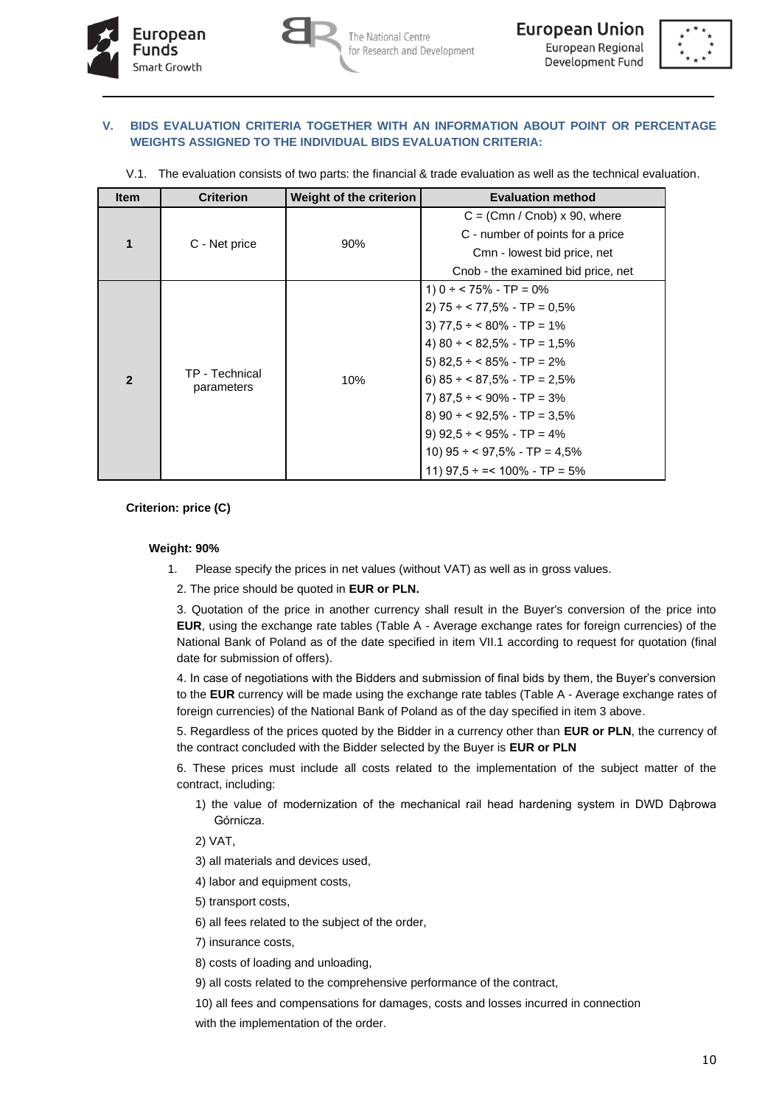



#### **V. BIDS EVALUATION CRITERIA TOGETHER WITH AN INFORMATION ABOUT POINT OR PERCENTAGE WEIGHTS ASSIGNED TO THE INDIVIDUAL BIDS EVALUATION CRITERIA:**

| V.1. The evaluation consists of two parts: the financial & trade evaluation as well as the technical evaluation. |  |  |
|------------------------------------------------------------------------------------------------------------------|--|--|
|                                                                                                                  |  |  |

| <b>Item</b>    | <b>Criterion</b> | Weight of the criterion | <b>Evaluation method</b>             |
|----------------|------------------|-------------------------|--------------------------------------|
|                |                  |                         | $C = (Cmn / Cnob) \times 90$ , where |
| 1              | C - Net price    |                         | C - number of points for a price     |
|                |                  | 90%                     | Cmn - lowest bid price, net          |
|                |                  |                         | Cnob - the examined bid price, net   |
|                |                  |                         | 1) $0 \div 75\%$ - TP = 0%           |
|                |                  |                         | 2) $75 \div 77,5\%$ - TP = 0,5%      |
|                | TP - Technical   |                         | 3) $77.5 \div 80\%$ - TP = 1%        |
|                |                  |                         | 4) $80 \div 82,5\%$ - TP = 1,5%      |
|                |                  |                         | 5) $82.5 \div 85\%$ - TP = 2%        |
| $\overline{2}$ |                  | 10%                     | 6) $85 \div 87,5\%$ - TP = 2,5%      |
|                | parameters       |                         | 7) $87,5 \div 90\%$ - TP = 3%        |
|                |                  |                         | 8) $90 \div 92,5\%$ - TP = 3,5%      |
|                |                  |                         | 9) $92,5 \div 95\%$ - TP = 4%        |
|                |                  |                         | 10) $95 \div 97,5\%$ - TP = 4,5%     |
|                |                  |                         | 11) $97.5 \div = 100\%$ - TP = 5%    |

## **Criterion: price (C)**

### **Weight: 90%**

- 1. Please specify the prices in net values (without VAT) as well as in gross values.
	- 2. The price should be quoted in **EUR or PLN.**

3. Quotation of the price in another currency shall result in the Buyer's conversion of the price into **EUR**, using the exchange rate tables (Table A - Average exchange rates for foreign currencies) of the National Bank of Poland as of the date specified in item VII.1 according to request for quotation (final date for submission of offers).

4. In case of negotiations with the Bidders and submission of final bids by them, the Buyer's conversion to the **EUR** currency will be made using the exchange rate tables (Table A - Average exchange rates of foreign currencies) of the National Bank of Poland as of the day specified in item 3 above.

5. Regardless of the prices quoted by the Bidder in a currency other than **EUR or PLN**, the currency of the contract concluded with the Bidder selected by the Buyer is **EUR or PLN**

6. These prices must include all costs related to the implementation of the subject matter of the contract, including:

1) the value of modernization of the mechanical rail head hardening system in DWD Dąbrowa Górnicza.

2) VAT,

3) all materials and devices used,

- 4) labor and equipment costs,
- 5) transport costs,
- 6) all fees related to the subject of the order,
- 7) insurance costs,
- 8) costs of loading and unloading,
- 9) all costs related to the comprehensive performance of the contract,
- 10) all fees and compensations for damages, costs and losses incurred in connection

with the implementation of the order.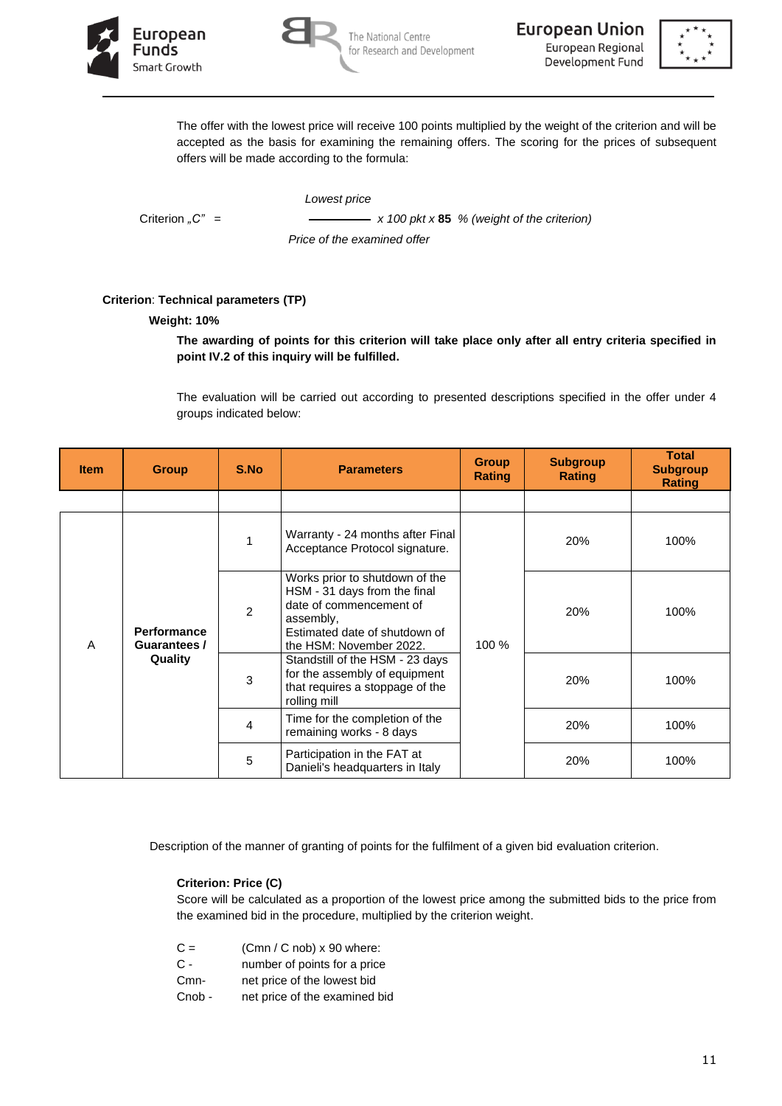





The offer with the lowest price will receive 100 points multiplied by the weight of the criterion and will be accepted as the basis for examining the remaining offers. The scoring for the prices of subsequent offers will be made according to the formula:

*Lowest price*

Criterion "C" =  $x 100 \, \text{pkt} \times 85$  % (weight of the criterion)  *Price of the examined offer*

# **Criterion**: **Technical parameters (TP)**

### **Weight: 10%**

**The awarding of points for this criterion will take place only after all entry criteria specified in point IV.2 of this inquiry will be fulfilled.**

The evaluation will be carried out according to presented descriptions specified in the offer under 4 groups indicated below:

| <b>Item</b> | <b>Group</b>                       | S.No           | <b>Parameters</b>                                                                                                                                                  | <b>Group</b><br><b>Rating</b> | <b>Subgroup</b><br><b>Rating</b> | <b>Total</b><br><b>Subgroup</b><br><b>Rating</b> |      |
|-------------|------------------------------------|----------------|--------------------------------------------------------------------------------------------------------------------------------------------------------------------|-------------------------------|----------------------------------|--------------------------------------------------|------|
|             |                                    |                |                                                                                                                                                                    |                               |                                  |                                                  |      |
|             |                                    | 1              | Warranty - 24 months after Final<br>Acceptance Protocol signature.                                                                                                 |                               | 20%                              | 100%                                             |      |
| A           | <b>Performance</b><br>Guarantees / | $\overline{2}$ | Works prior to shutdown of the<br>HSM - 31 days from the final<br>date of commencement of<br>assembly,<br>Estimated date of shutdown of<br>the HSM: November 2022. | 100 %                         | 20%                              | 100%                                             |      |
|             | Quality                            | 3              | Standstill of the HSM - 23 days<br>for the assembly of equipment<br>that requires a stoppage of the<br>rolling mill                                                |                               |                                  | 20%                                              | 100% |
|             |                                    | $\overline{4}$ | Time for the completion of the<br>remaining works - 8 days                                                                                                         |                               | 20%                              | 100%                                             |      |
|             |                                    | 5              | Participation in the FAT at<br>Danieli's headquarters in Italy                                                                                                     |                               | 20%                              | 100%                                             |      |

Description of the manner of granting of points for the fulfilment of a given bid evaluation criterion.

#### **Criterion: Price (C)**

Score will be calculated as a proportion of the lowest price among the submitted bids to the price from the examined bid in the procedure, multiplied by the criterion weight.

- $C =$  (Cmn / C nob) x 90 where:
- C number of points for a price
- Cmn- net price of the lowest bid
- Cnob net price of the examined bid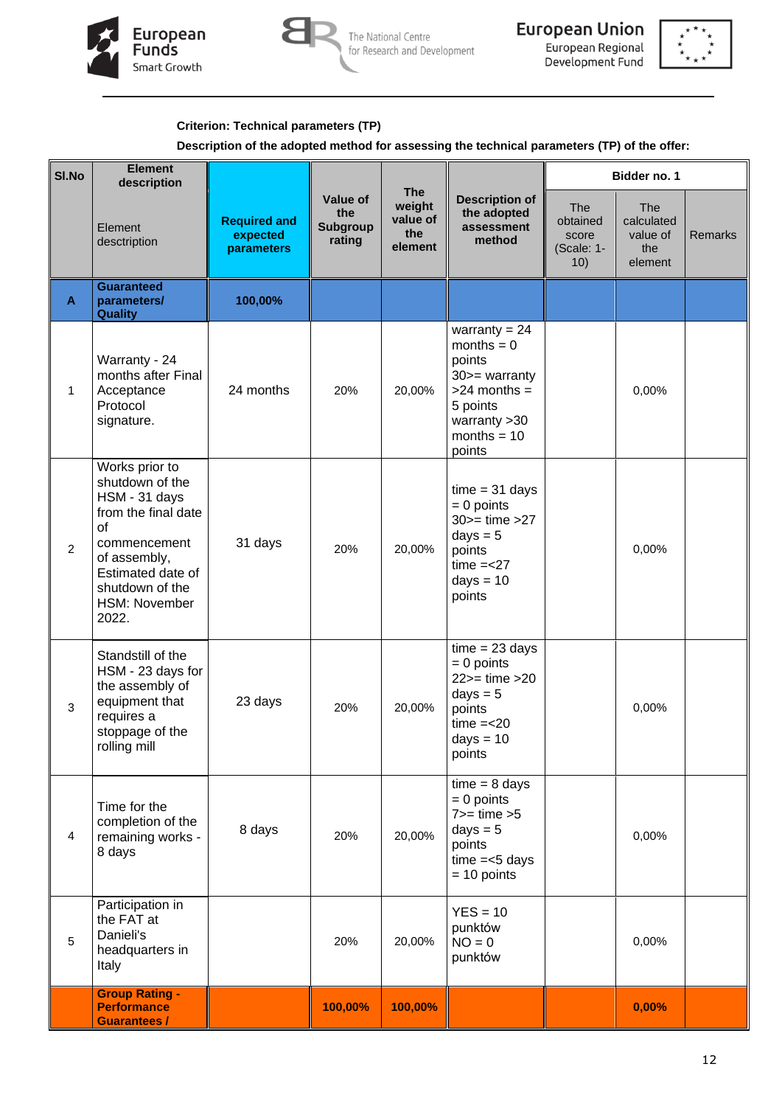





# **Criterion: Technical parameters (TP)**

### **Description of the adopted method for assessing the technical parameters (TP) of the offer:**

| SI.No          | <b>Element</b><br>description                                                                                                                                                     |                                               |                                       |                                                    |                                                                                                                                                                                                                                                                            | Bidder no. 1                                         |                                                 |                |
|----------------|-----------------------------------------------------------------------------------------------------------------------------------------------------------------------------------|-----------------------------------------------|---------------------------------------|----------------------------------------------------|----------------------------------------------------------------------------------------------------------------------------------------------------------------------------------------------------------------------------------------------------------------------------|------------------------------------------------------|-------------------------------------------------|----------------|
|                | Element<br>desctription                                                                                                                                                           | <b>Required and</b><br>expected<br>parameters | Value of<br>the<br>Subgroup<br>rating | <b>The</b><br>weight<br>value of<br>the<br>element | <b>Description of</b><br>the adopted<br>assessment<br>method                                                                                                                                                                                                               | <b>The</b><br>obtained<br>score<br>(Scale: 1-<br>10) | The<br>calculated<br>value of<br>the<br>element | <b>Remarks</b> |
| A              | <b>Guaranteed</b><br>parameters/<br><b>Quality</b>                                                                                                                                | 100,00%                                       |                                       |                                                    |                                                                                                                                                                                                                                                                            |                                                      |                                                 |                |
| $\mathbf{1}$   | Warranty - 24<br>months after Final<br>Acceptance<br>Protocol<br>signature.                                                                                                       | 24 months                                     | 20%                                   | 20,00%                                             | warranty = $24$<br>$months = 0$<br>points<br>$30$ - warranty<br>$>24$ months =<br>5 points<br>warranty $>30$<br>months = $10$<br>points<br>$time = 31 \text{ days}$<br>$= 0$ points<br>$30>=$ time $>27$<br>$days = 5$<br>points<br>$time = < 27$<br>$days = 10$<br>points |                                                      | 0,00%                                           |                |
| $\overline{2}$ | Works prior to<br>shutdown of the<br>HSM - 31 days<br>from the final date<br>of<br>commencement<br>of assembly,<br>Estimated date of<br>shutdown of the<br>HSM: November<br>2022. | 31 days                                       | 20%                                   | 20,00%                                             |                                                                                                                                                                                                                                                                            |                                                      | 0,00%                                           |                |
| $\mathbf{3}$   | Standstill of the<br>HSM - 23 days for<br>the assembly of<br>equipment that<br>requires a<br>stoppage of the<br>rolling mill                                                      | 23 days                                       | 20%                                   | 20,00%                                             | $time = 23 days$<br>$= 0$ points<br>$22$ = time > $20$<br>$days = 5$<br>points<br>$time = < 20$<br>$days = 10$<br>points                                                                                                                                                   |                                                      |                                                 |                |
| $\overline{4}$ | Time for the<br>completion of the<br>remaining works -<br>8 days                                                                                                                  | 8 days                                        | 20%                                   | 20,00%                                             | $time = 8 days$<br>$= 0$ points<br>$7>=$ time $>5$<br>$days = 5$<br>points<br>$time = < 5 days$<br>$= 10$ points                                                                                                                                                           |                                                      | 0,00%                                           |                |
| 5              | Participation in<br>the FAT at<br>Danieli's<br>headquarters in<br>Italy                                                                                                           |                                               | 20%                                   | 20,00%                                             | $YES = 10$<br>punktów<br>$NO = 0$<br>punktów                                                                                                                                                                                                                               |                                                      | 0,00%                                           |                |
|                | <b>Group Rating -</b><br><b>Performance</b><br><b>Guarantees /</b>                                                                                                                |                                               | 100,00%                               | 100,00%                                            |                                                                                                                                                                                                                                                                            |                                                      | 0,00%                                           |                |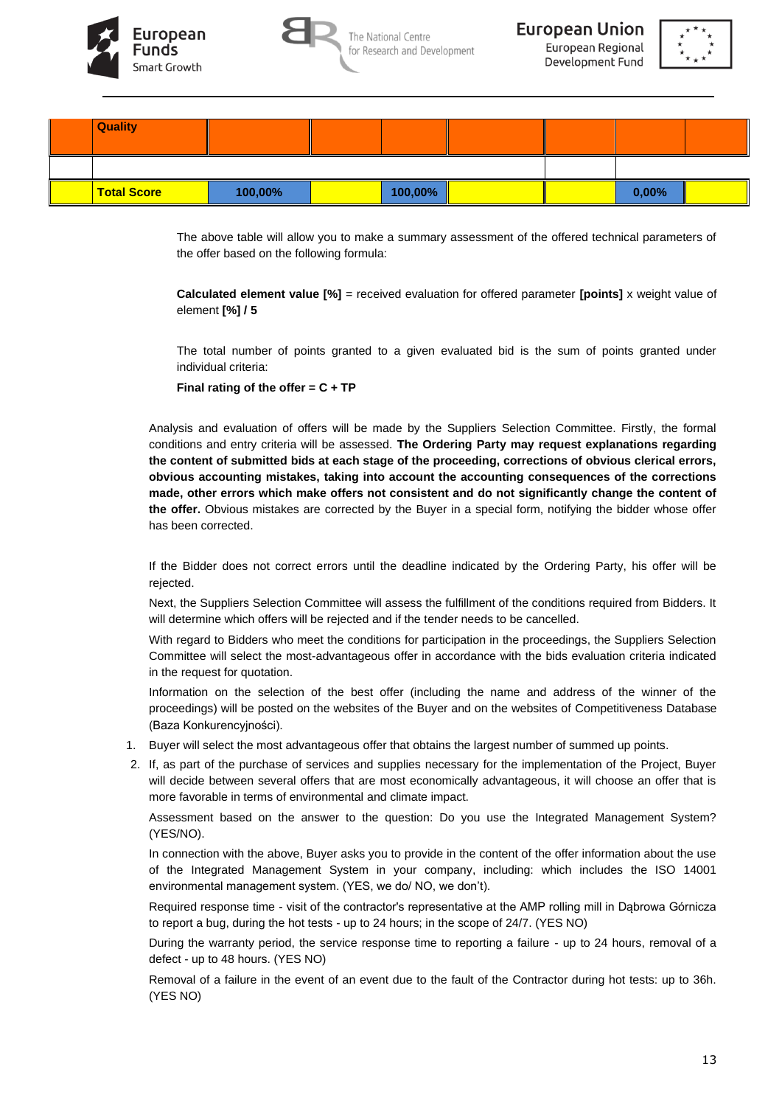







The above table will allow you to make a summary assessment of the offered technical parameters of the offer based on the following formula:

**Calculated element value [%]** = received evaluation for offered parameter **[points]** x weight value of element **[%] / 5**

The total number of points granted to a given evaluated bid is the sum of points granted under individual criteria:

**Final rating of the offer = C + TP**

Analysis and evaluation of offers will be made by the Suppliers Selection Committee. Firstly, the formal conditions and entry criteria will be assessed. **The Ordering Party may request explanations regarding the content of submitted bids at each stage of the proceeding, corrections of obvious clerical errors, obvious accounting mistakes, taking into account the accounting consequences of the corrections made, other errors which make offers not consistent and do not significantly change the content of the offer.** Obvious mistakes are corrected by the Buyer in a special form, notifying the bidder whose offer has been corrected.

If the Bidder does not correct errors until the deadline indicated by the Ordering Party, his offer will be rejected.

Next, the Suppliers Selection Committee will assess the fulfillment of the conditions required from Bidders. It will determine which offers will be rejected and if the tender needs to be cancelled.

With regard to Bidders who meet the conditions for participation in the proceedings, the Suppliers Selection Committee will select the most-advantageous offer in accordance with the bids evaluation criteria indicated in the request for quotation.

Information on the selection of the best offer (including the name and address of the winner of the proceedings) will be posted on the websites of the Buyer and on the websites of Competitiveness Database (Baza Konkurencyjności).

- 1. Buyer will select the most advantageous offer that obtains the largest number of summed up points.
- 2. If, as part of the purchase of services and supplies necessary for the implementation of the Project, Buyer will decide between several offers that are most economically advantageous, it will choose an offer that is more favorable in terms of environmental and climate impact.

Assessment based on the answer to the question: Do you use the Integrated Management System? (YES/NO).

In connection with the above, Buyer asks you to provide in the content of the offer information about the use of the Integrated Management System in your company, including: which includes the ISO 14001 environmental management system. (YES, we do/ NO, we don't).

Required response time - visit of the contractor's representative at the AMP rolling mill in Dąbrowa Górnicza to report a bug, during the hot tests - up to 24 hours; in the scope of 24/7. (YES NO)

During the warranty period, the service response time to reporting a failure - up to 24 hours, removal of a defect - up to 48 hours. (YES NO)

Removal of a failure in the event of an event due to the fault of the Contractor during hot tests: up to 36h. (YES NO)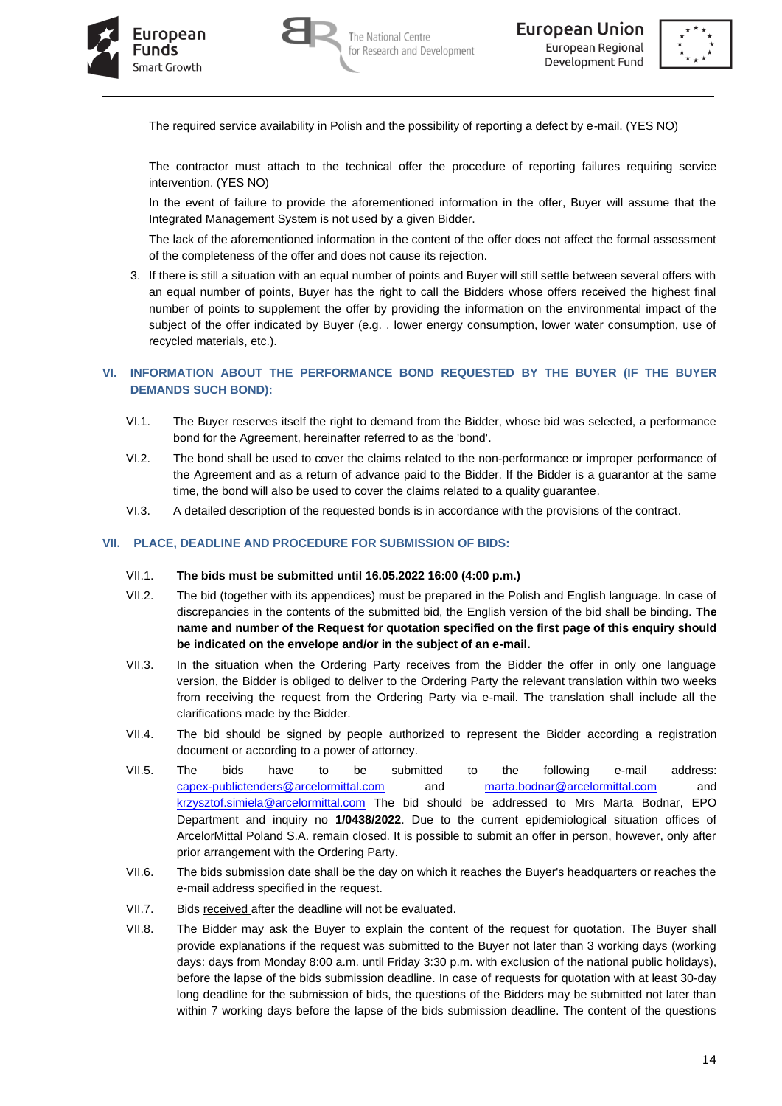





The required service availability in Polish and the possibility of reporting a defect by e-mail. (YES NO)

The contractor must attach to the technical offer the procedure of reporting failures requiring service intervention. (YES NO)

In the event of failure to provide the aforementioned information in the offer, Buyer will assume that the Integrated Management System is not used by a given Bidder.

The lack of the aforementioned information in the content of the offer does not affect the formal assessment of the completeness of the offer and does not cause its rejection.

3. If there is still a situation with an equal number of points and Buyer will still settle between several offers with an equal number of points, Buyer has the right to call the Bidders whose offers received the highest final number of points to supplement the offer by providing the information on the environmental impact of the subject of the offer indicated by Buyer (e.g. . lower energy consumption, lower water consumption, use of recycled materials, etc.).

# **VI. INFORMATION ABOUT THE PERFORMANCE BOND REQUESTED BY THE BUYER (IF THE BUYER DEMANDS SUCH BOND):**

- VI.1. The Buyer reserves itself the right to demand from the Bidder, whose bid was selected, a performance bond for the Agreement, hereinafter referred to as the 'bond'.
- VI.2. The bond shall be used to cover the claims related to the non-performance or improper performance of the Agreement and as a return of advance paid to the Bidder. If the Bidder is a guarantor at the same time, the bond will also be used to cover the claims related to a quality guarantee.
- VI.3. A detailed description of the requested bonds is in accordance with the provisions of the contract.

#### **VII. PLACE, DEADLINE AND PROCEDURE FOR SUBMISSION OF BIDS:**

#### VII.1. **The bids must be submitted until 16.05.2022 16:00 (4:00 p.m.)**

- VII.2. The bid (together with its appendices) must be prepared in the Polish and English language. In case of discrepancies in the contents of the submitted bid, the English version of the bid shall be binding. **The name and number of the Request for quotation specified on the first page of this enquiry should be indicated on the envelope and/or in the subject of an e-mail.**
- VII.3. In the situation when the Ordering Party receives from the Bidder the offer in only one language version, the Bidder is obliged to deliver to the Ordering Party the relevant translation within two weeks from receiving the request from the Ordering Party via e-mail. The translation shall include all the clarifications made by the Bidder.
- VII.4. The bid should be signed by people authorized to represent the Bidder according a registration document or according to a power of attorney.
- VII.5. The bids have to be submitted to the following e-mail address: [capex-publictenders@arcelormittal.com](mailto:capex-publictenders@arcelormittal.com) and [marta.bodnar@arcelormittal.com](mailto:marta.bodnar@arcelormittal.com) and [krzysztof.simiela@arcelormittal.com](mailto:krzysztof.simiela@arcelormittal.com) The bid should be addressed to Mrs Marta Bodnar, EPO Department and inquiry no **1/0438/2022**. Due to the current epidemiological situation offices of ArcelorMittal Poland S.A. remain closed. It is possible to submit an offer in person, however, only after prior arrangement with the Ordering Party.
- VII.6. The bids submission date shall be the day on which it reaches the Buyer's headquarters or reaches the e-mail address specified in the request.
- VII.7. Bids received after the deadline will not be evaluated.
- VII.8. The Bidder may ask the Buyer to explain the content of the request for quotation. The Buyer shall provide explanations if the request was submitted to the Buyer not later than 3 working days (working days: days from Monday 8:00 a.m. until Friday 3:30 p.m. with exclusion of the national public holidays), before the lapse of the bids submission deadline. In case of requests for quotation with at least 30-day long deadline for the submission of bids, the questions of the Bidders may be submitted not later than within 7 working days before the lapse of the bids submission deadline. The content of the questions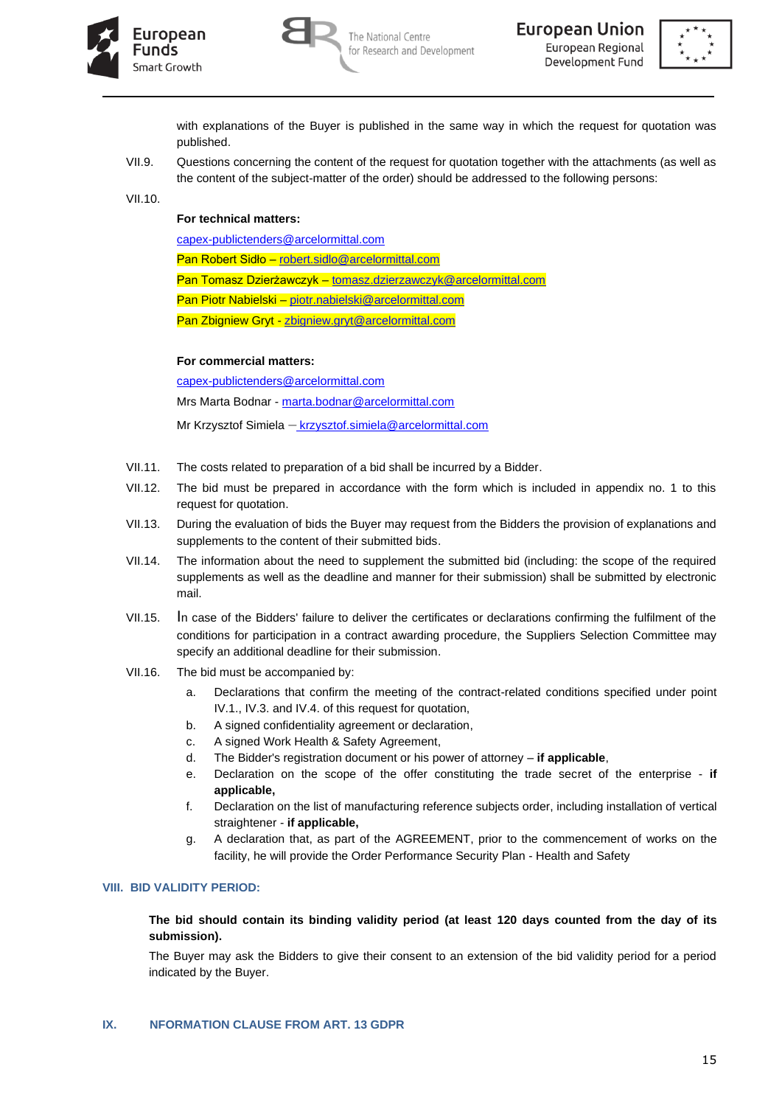





with explanations of the Buyer is published in the same way in which the request for quotation was published.

VII.9. Questions concerning the content of the request for quotation together with the attachments (as well as the content of the subject-matter of the order) should be addressed to the following persons:

VII.10.

# **For technical matters:**

[capex-publictenders@arcelormittal.com](mailto:capex-publictenders@arcelormittal.com@arcelormittal.com)

Pan Robert Sidło – [robert.sidlo@arcelormittal.com](mailto:robert.sidlo@arcelormittal.com)

Pan Tomasz Dzierżawczyk – [tomasz.dzierzawczyk@arcelormittal.com](mailto:tomasz.dzierzawczyk@arcelormittal.com)

Pan Piotr Nabielski – [piotr.nabielski@arcelormittal.com](mailto:piotr.nabielski@arcelormittal.com)

Pan Zbigniew Gryt - [zbigniew.gryt@arcelormittal.com](mailto:zbigniew.gryt@arcelormittal.com)

**For commercial matters:** 

[capex-publictenders@arcelormittal.com](mailto:capex-publictenders@arcelormittal.com@arcelormittal.com)

Mrs Marta Bodnar - [marta.bodnar@arcelormittal.com](mailto:marta.bodnar@arcelormittal.com)

Mr Krzysztof Simiela – krzysztof.simiela@arcelormittal.com

- VII.11. The costs related to preparation of a bid shall be incurred by a Bidder.
- VII.12. The bid must be prepared in accordance with the form which is included in appendix no. 1 to this request for quotation.
- VII.13. During the evaluation of bids the Buyer may request from the Bidders the provision of explanations and supplements to the content of their submitted bids.
- VII.14. The information about the need to supplement the submitted bid (including: the scope of the required supplements as well as the deadline and manner for their submission) shall be submitted by electronic mail.
- VII.15. In case of the Bidders' failure to deliver the certificates or declarations confirming the fulfilment of the conditions for participation in a contract awarding procedure, the Suppliers Selection Committee may specify an additional deadline for their submission.
- VII.16. The bid must be accompanied by:
	- a. Declarations that confirm the meeting of the contract-related conditions specified under point IV.1., IV.3. and IV.4. of this request for quotation,
	- b. A signed confidentiality agreement or declaration,
	- c. A signed Work Health & Safety Agreement,
	- d. The Bidder's registration document or his power of attorney **if applicable**,
	- e. Declaration on the scope of the offer constituting the trade secret of the enterprise **if applicable,**
	- f. Declaration on the list of manufacturing reference subjects order, including installation of vertical straightener - **if applicable,**
	- g. A declaration that, as part of the AGREEMENT, prior to the commencement of works on the facility, he will provide the Order Performance Security Plan - Health and Safety

## **VIII. BID VALIDITY PERIOD:**

## **The bid should contain its binding validity period (at least 120 days counted from the day of its submission).**

The Buyer may ask the Bidders to give their consent to an extension of the bid validity period for a period indicated by the Buyer.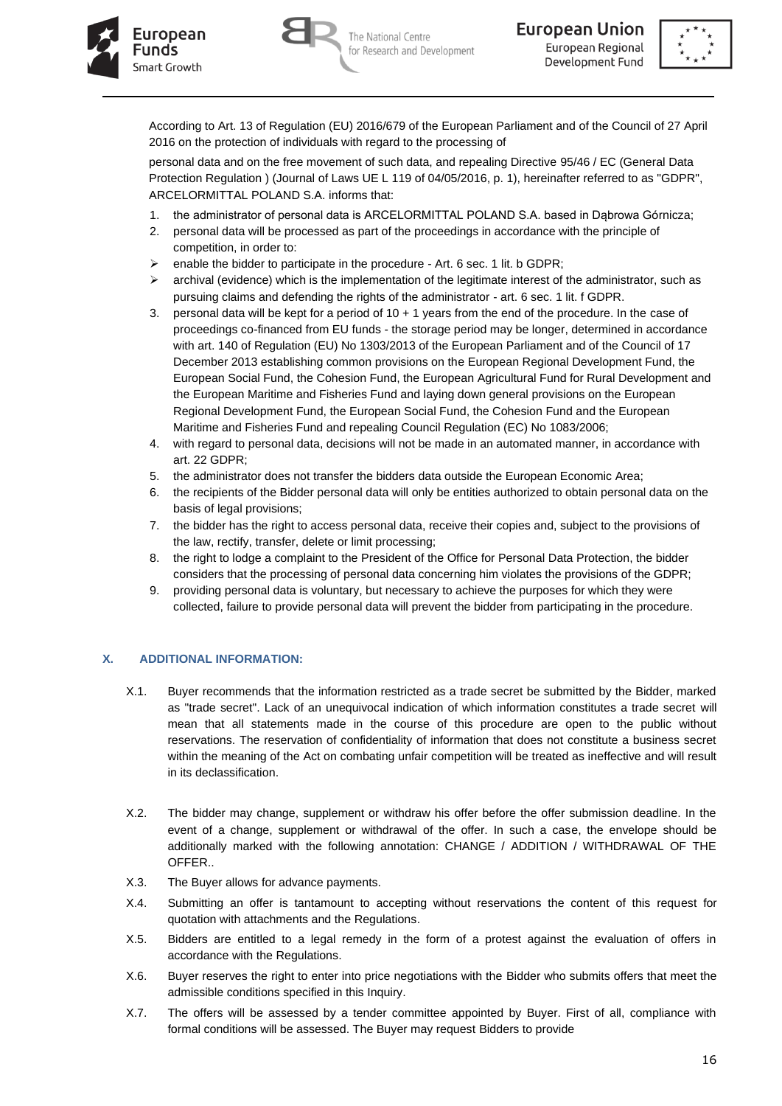



According to Art. 13 of Regulation (EU) 2016/679 of the European Parliament and of the Council of 27 April 2016 on the protection of individuals with regard to the processing of

personal data and on the free movement of such data, and repealing Directive 95/46 / EC (General Data Protection Regulation ) (Journal of Laws UE L 119 of 04/05/2016, p. 1), hereinafter referred to as "GDPR", ARCELORMITTAL POLAND S.A. informs that:

- 1. the administrator of personal data is ARCELORMITTAL POLAND S.A. based in Dąbrowa Górnicza;
- 2. personal data will be processed as part of the proceedings in accordance with the principle of competition, in order to:
- $\triangleright$  enable the bidder to participate in the procedure Art. 6 sec. 1 lit. b GDPR;
- $\triangleright$  archival (evidence) which is the implementation of the legitimate interest of the administrator, such as pursuing claims and defending the rights of the administrator - art. 6 sec. 1 lit. f GDPR.
- 3. personal data will be kept for a period of 10 + 1 years from the end of the procedure. In the case of proceedings co-financed from EU funds - the storage period may be longer, determined in accordance with art. 140 of Regulation (EU) No 1303/2013 of the European Parliament and of the Council of 17 December 2013 establishing common provisions on the European Regional Development Fund, the European Social Fund, the Cohesion Fund, the European Agricultural Fund for Rural Development and the European Maritime and Fisheries Fund and laying down general provisions on the European Regional Development Fund, the European Social Fund, the Cohesion Fund and the European Maritime and Fisheries Fund and repealing Council Regulation (EC) No 1083/2006;
- 4. with regard to personal data, decisions will not be made in an automated manner, in accordance with art. 22 GDPR;
- 5. the administrator does not transfer the bidders data outside the European Economic Area;
- 6. the recipients of the Bidder personal data will only be entities authorized to obtain personal data on the basis of legal provisions;
- 7. the bidder has the right to access personal data, receive their copies and, subject to the provisions of the law, rectify, transfer, delete or limit processing;
- 8. the right to lodge a complaint to the President of the Office for Personal Data Protection, the bidder considers that the processing of personal data concerning him violates the provisions of the GDPR;
- 9. providing personal data is voluntary, but necessary to achieve the purposes for which they were collected, failure to provide personal data will prevent the bidder from participating in the procedure.

## **X. ADDITIONAL INFORMATION:**

- X.1. Buyer recommends that the information restricted as a trade secret be submitted by the Bidder, marked as "trade secret". Lack of an unequivocal indication of which information constitutes a trade secret will mean that all statements made in the course of this procedure are open to the public without reservations. The reservation of confidentiality of information that does not constitute a business secret within the meaning of the Act on combating unfair competition will be treated as ineffective and will result in its declassification.
- X.2. The bidder may change, supplement or withdraw his offer before the offer submission deadline. In the event of a change, supplement or withdrawal of the offer. In such a case, the envelope should be additionally marked with the following annotation: CHANGE / ADDITION / WITHDRAWAL OF THE OFFER..
- X.3. The Buyer allows for advance payments.
- X.4. Submitting an offer is tantamount to accepting without reservations the content of this request for quotation with attachments and the Regulations.
- X.5. Bidders are entitled to a legal remedy in the form of a protest against the evaluation of offers in accordance with the Regulations.
- X.6. Buyer reserves the right to enter into price negotiations with the Bidder who submits offers that meet the admissible conditions specified in this Inquiry.
- X.7. The offers will be assessed by a tender committee appointed by Buyer. First of all, compliance with formal conditions will be assessed. The Buyer may request Bidders to provide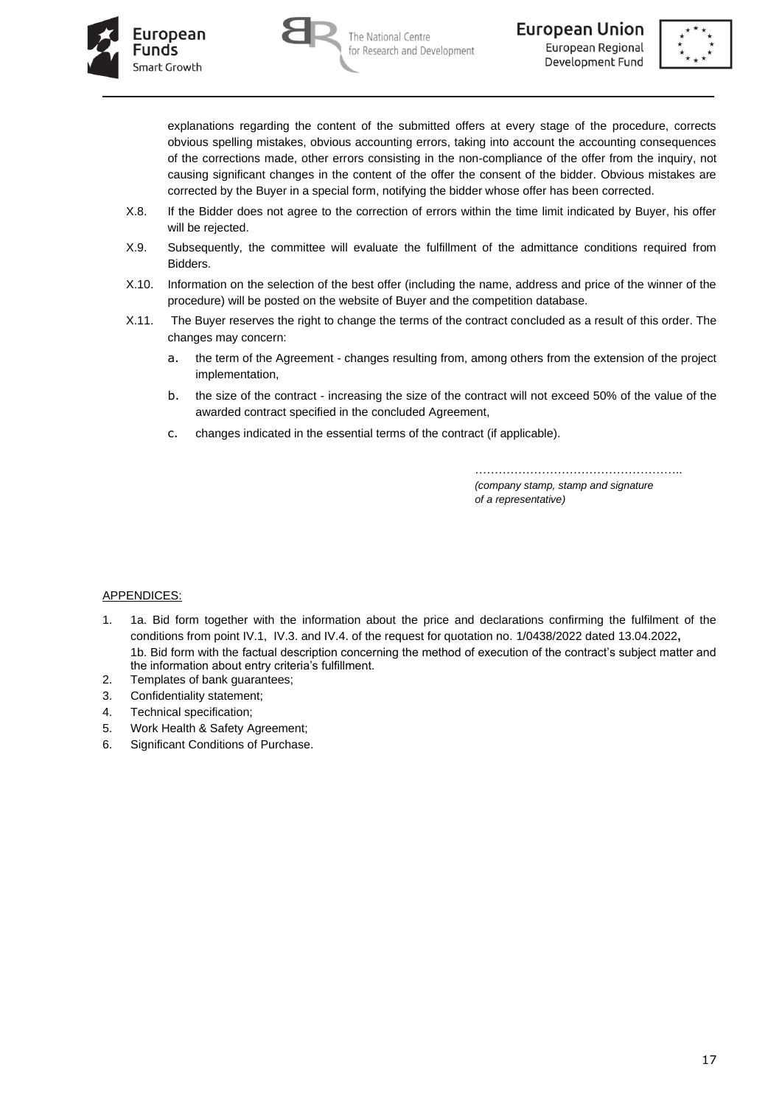





explanations regarding the content of the submitted offers at every stage of the procedure, corrects obvious spelling mistakes, obvious accounting errors, taking into account the accounting consequences of the corrections made, other errors consisting in the non-compliance of the offer from the inquiry, not causing significant changes in the content of the offer the consent of the bidder. Obvious mistakes are corrected by the Buyer in a special form, notifying the bidder whose offer has been corrected.

- X.8. If the Bidder does not agree to the correction of errors within the time limit indicated by Buyer, his offer will be rejected.
- X.9. Subsequently, the committee will evaluate the fulfillment of the admittance conditions required from Bidders.
- X.10. Information on the selection of the best offer (including the name, address and price of the winner of the procedure) will be posted on the website of Buyer and the competition database.
- X.11. The Buyer reserves the right to change the terms of the contract concluded as a result of this order. The changes may concern:
	- a. the term of the Agreement changes resulting from, among others from the extension of the project implementation,
	- b. the size of the contract increasing the size of the contract will not exceed 50% of the value of the awarded contract specified in the concluded Agreement,
	- c. changes indicated in the essential terms of the contract (if applicable).

…………………………………………….. *(company stamp, stamp and signature of a representative)*

## APPENDICES:

- 1. 1a. Bid form together with the information about the price and declarations confirming the fulfilment of the conditions from point IV.1, IV.3. and IV.4. of the request for quotation no. 1/0438/2022 dated 13.04.2022**,** 1b. Bid form with the factual description concerning the method of execution of the contract's subject matter and the information about entry criteria's fulfillment.
- 2. Templates of bank guarantees;
- 3. Confidentiality statement;
- 4. Technical specification;
- 5. Work Health & Safety Agreement;
- 6. Significant Conditions of Purchase.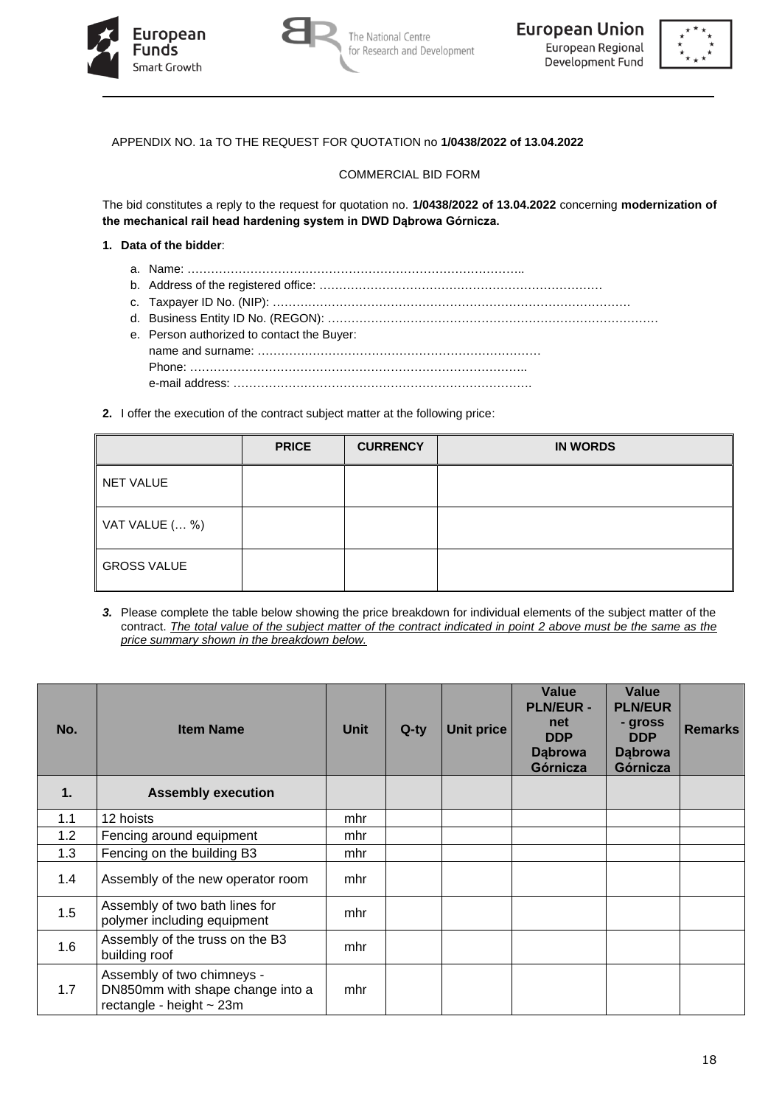





# APPENDIX NO. 1a TO THE REQUEST FOR QUOTATION no **1/0438/2022 of 13.04.2022**

#### COMMERCIAL BID FORM

The bid constitutes a reply to the request for quotation no. **1/0438/2022 of 13.04.2022** concerning **modernization of the mechanical rail head hardening system in DWD Dąbrowa Górnicza.**

#### **1. Data of the bidder**:

- a. Name: …………………………………………………………………………..
- b. Address of the registered office: ………………………………………………………………
- c. Taxpayer ID No. (NIP): ……………………………………………………………………………….
- d. Business Entity ID No. (REGON): …………………………………………………………………………
- e. Person authorized to contact the Buyer: name and surname: ……………………………………………………………… Phone: ………………………………………………………………………….. e-mail address: ………………………………………………………………….
- **2.** I offer the execution of the contract subject matter at the following price:

|                    | <b>PRICE</b> | <b>CURRENCY</b> | <b>IN WORDS</b> |
|--------------------|--------------|-----------------|-----------------|
| NET VALUE          |              |                 |                 |
| VAT VALUE ( %)     |              |                 |                 |
| <b>GROSS VALUE</b> |              |                 |                 |

*3.* Please complete the table below showing the price breakdown for individual elements of the subject matter of the contract. *The total value of the subject matter of the contract indicated in point 2 above must be the same as the price summary shown in the breakdown below.*

| No.         | <b>Item Name</b>                                                                                | Unit | $Q$ -ty | <b>Unit price</b> | Value<br><b>PLN/EUR -</b><br>net<br><b>DDP</b><br><b>Dąbrowa</b><br>Górnicza | Value<br><b>PLN/EUR</b><br>- gross<br><b>DDP</b><br><b>Dabrowa</b><br>Górnicza | <b>Remarks</b> |
|-------------|-------------------------------------------------------------------------------------------------|------|---------|-------------------|------------------------------------------------------------------------------|--------------------------------------------------------------------------------|----------------|
| $\mathbf 1$ | <b>Assembly execution</b>                                                                       |      |         |                   |                                                                              |                                                                                |                |
| 1.1         | 12 hoists                                                                                       | mhr  |         |                   |                                                                              |                                                                                |                |
| 1.2         | Fencing around equipment                                                                        | mhr  |         |                   |                                                                              |                                                                                |                |
| 1.3         | Fencing on the building B3                                                                      | mhr  |         |                   |                                                                              |                                                                                |                |
| 1.4         | Assembly of the new operator room                                                               | mhr  |         |                   |                                                                              |                                                                                |                |
| 1.5         | Assembly of two bath lines for<br>polymer including equipment                                   | mhr  |         |                   |                                                                              |                                                                                |                |
| 1.6         | Assembly of the truss on the B3<br>building roof                                                | mhr  |         |                   |                                                                              |                                                                                |                |
| 1.7         | Assembly of two chimneys -<br>DN850mm with shape change into a<br>rectangle - height $\sim$ 23m | mhr  |         |                   |                                                                              |                                                                                |                |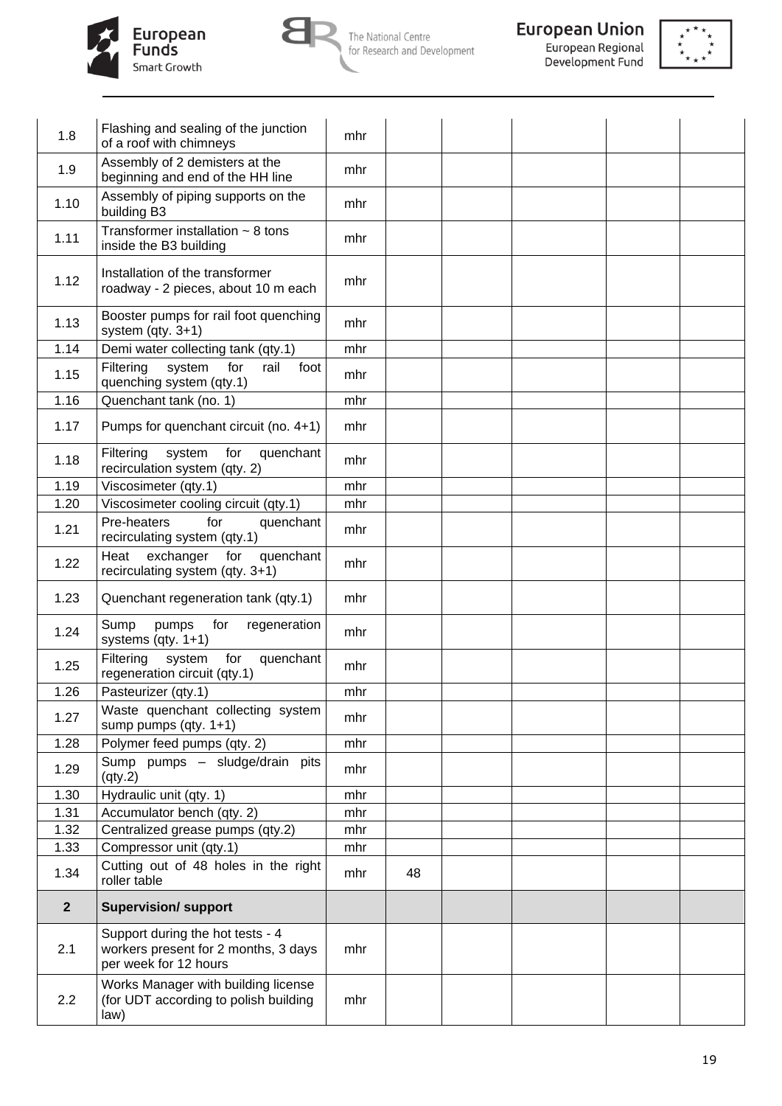





| Assembly of 2 demisters at the<br>1.9<br>mhr<br>beginning and end of the HH line<br>Assembly of piping supports on the<br>1.10<br>mhr<br>building B3<br>Transformer installation $\sim$ 8 tons<br>1.11<br>mhr<br>inside the B3 building<br>Installation of the transformer<br>1.12<br>mhr<br>roadway - 2 pieces, about 10 m each<br>Booster pumps for rail foot quenching<br>1.13<br>mhr<br>system $(qty. 3+1)$<br>1.14<br>Demi water collecting tank (qty.1)<br>mhr<br>Filtering<br>system<br>for<br>rail<br>foot<br>1.15<br>mhr<br>quenching system (qty.1)<br>Quenchant tank (no. 1)<br>1.16<br>mhr<br>1.17<br>Pumps for quenchant circuit (no. 4+1)<br>mhr<br>Filtering<br>system<br>for<br>quenchant<br>1.18<br>mhr<br>recirculation system (qty. 2)<br>1.19<br>Viscosimeter (qty.1)<br>mhr<br>1.20<br>Viscosimeter cooling circuit (qty.1)<br>mhr<br>Pre-heaters<br>for<br>quenchant<br>1.21<br>mhr<br>recirculating system (qty.1)<br>exchanger<br>quenchant<br>Heat<br>for<br>1.22<br>mhr<br>recirculating system (qty. 3+1)<br>1.23<br>Quenchant regeneration tank (qty.1)<br>mhr<br>Sump<br>pumps<br>for<br>regeneration<br>1.24<br>mhr<br>systems $(qty. 1+1)$<br>Filtering<br>system<br>for<br>quenchant<br>1.25<br>mhr<br>regeneration circuit (qty.1)<br>1.26<br>Pasteurizer (qty.1)<br>mhr<br>Waste quenchant collecting system<br>1.27<br>mhr<br>sump pumps $(qty. 1+1)$<br>1.28<br>Polymer feed pumps (qty. 2)<br>mhr<br>Sump pumps - sludge/drain pits<br>1.29<br>mhr<br>$\left($ qty.2 $\right)$<br>1.30<br>Hydraulic unit (qty. 1)<br>mhr<br>1.31<br>Accumulator bench (qty. 2)<br>mhr<br>1.32<br>Centralized grease pumps (qty.2)<br>mhr<br>1.33<br>Compressor unit (qty.1)<br>mhr<br>Cutting out of 48 holes in the right<br>1.34<br>48<br>mhr<br>roller table<br>$\overline{2}$<br><b>Supervision/ support</b><br>Support during the hot tests - 4<br>2.1<br>workers present for 2 months, 3 days<br>mhr<br>per week for 12 hours<br>Works Manager with building license<br>2.2<br>(for UDT according to polish building<br>mhr<br>law) | 1.8 | Flashing and sealing of the junction<br>of a roof with chimneys | mhr |  |  |  |
|----------------------------------------------------------------------------------------------------------------------------------------------------------------------------------------------------------------------------------------------------------------------------------------------------------------------------------------------------------------------------------------------------------------------------------------------------------------------------------------------------------------------------------------------------------------------------------------------------------------------------------------------------------------------------------------------------------------------------------------------------------------------------------------------------------------------------------------------------------------------------------------------------------------------------------------------------------------------------------------------------------------------------------------------------------------------------------------------------------------------------------------------------------------------------------------------------------------------------------------------------------------------------------------------------------------------------------------------------------------------------------------------------------------------------------------------------------------------------------------------------------------------------------------------------------------------------------------------------------------------------------------------------------------------------------------------------------------------------------------------------------------------------------------------------------------------------------------------------------------------------------------------------------------------------------------------------------------------------------------------------------------------------------------------------------------|-----|-----------------------------------------------------------------|-----|--|--|--|
|                                                                                                                                                                                                                                                                                                                                                                                                                                                                                                                                                                                                                                                                                                                                                                                                                                                                                                                                                                                                                                                                                                                                                                                                                                                                                                                                                                                                                                                                                                                                                                                                                                                                                                                                                                                                                                                                                                                                                                                                                                                                |     |                                                                 |     |  |  |  |
|                                                                                                                                                                                                                                                                                                                                                                                                                                                                                                                                                                                                                                                                                                                                                                                                                                                                                                                                                                                                                                                                                                                                                                                                                                                                                                                                                                                                                                                                                                                                                                                                                                                                                                                                                                                                                                                                                                                                                                                                                                                                |     |                                                                 |     |  |  |  |
|                                                                                                                                                                                                                                                                                                                                                                                                                                                                                                                                                                                                                                                                                                                                                                                                                                                                                                                                                                                                                                                                                                                                                                                                                                                                                                                                                                                                                                                                                                                                                                                                                                                                                                                                                                                                                                                                                                                                                                                                                                                                |     |                                                                 |     |  |  |  |
|                                                                                                                                                                                                                                                                                                                                                                                                                                                                                                                                                                                                                                                                                                                                                                                                                                                                                                                                                                                                                                                                                                                                                                                                                                                                                                                                                                                                                                                                                                                                                                                                                                                                                                                                                                                                                                                                                                                                                                                                                                                                |     |                                                                 |     |  |  |  |
|                                                                                                                                                                                                                                                                                                                                                                                                                                                                                                                                                                                                                                                                                                                                                                                                                                                                                                                                                                                                                                                                                                                                                                                                                                                                                                                                                                                                                                                                                                                                                                                                                                                                                                                                                                                                                                                                                                                                                                                                                                                                |     |                                                                 |     |  |  |  |
|                                                                                                                                                                                                                                                                                                                                                                                                                                                                                                                                                                                                                                                                                                                                                                                                                                                                                                                                                                                                                                                                                                                                                                                                                                                                                                                                                                                                                                                                                                                                                                                                                                                                                                                                                                                                                                                                                                                                                                                                                                                                |     |                                                                 |     |  |  |  |
|                                                                                                                                                                                                                                                                                                                                                                                                                                                                                                                                                                                                                                                                                                                                                                                                                                                                                                                                                                                                                                                                                                                                                                                                                                                                                                                                                                                                                                                                                                                                                                                                                                                                                                                                                                                                                                                                                                                                                                                                                                                                |     |                                                                 |     |  |  |  |
|                                                                                                                                                                                                                                                                                                                                                                                                                                                                                                                                                                                                                                                                                                                                                                                                                                                                                                                                                                                                                                                                                                                                                                                                                                                                                                                                                                                                                                                                                                                                                                                                                                                                                                                                                                                                                                                                                                                                                                                                                                                                |     |                                                                 |     |  |  |  |
|                                                                                                                                                                                                                                                                                                                                                                                                                                                                                                                                                                                                                                                                                                                                                                                                                                                                                                                                                                                                                                                                                                                                                                                                                                                                                                                                                                                                                                                                                                                                                                                                                                                                                                                                                                                                                                                                                                                                                                                                                                                                |     |                                                                 |     |  |  |  |
|                                                                                                                                                                                                                                                                                                                                                                                                                                                                                                                                                                                                                                                                                                                                                                                                                                                                                                                                                                                                                                                                                                                                                                                                                                                                                                                                                                                                                                                                                                                                                                                                                                                                                                                                                                                                                                                                                                                                                                                                                                                                |     |                                                                 |     |  |  |  |
|                                                                                                                                                                                                                                                                                                                                                                                                                                                                                                                                                                                                                                                                                                                                                                                                                                                                                                                                                                                                                                                                                                                                                                                                                                                                                                                                                                                                                                                                                                                                                                                                                                                                                                                                                                                                                                                                                                                                                                                                                                                                |     |                                                                 |     |  |  |  |
|                                                                                                                                                                                                                                                                                                                                                                                                                                                                                                                                                                                                                                                                                                                                                                                                                                                                                                                                                                                                                                                                                                                                                                                                                                                                                                                                                                                                                                                                                                                                                                                                                                                                                                                                                                                                                                                                                                                                                                                                                                                                |     |                                                                 |     |  |  |  |
|                                                                                                                                                                                                                                                                                                                                                                                                                                                                                                                                                                                                                                                                                                                                                                                                                                                                                                                                                                                                                                                                                                                                                                                                                                                                                                                                                                                                                                                                                                                                                                                                                                                                                                                                                                                                                                                                                                                                                                                                                                                                |     |                                                                 |     |  |  |  |
|                                                                                                                                                                                                                                                                                                                                                                                                                                                                                                                                                                                                                                                                                                                                                                                                                                                                                                                                                                                                                                                                                                                                                                                                                                                                                                                                                                                                                                                                                                                                                                                                                                                                                                                                                                                                                                                                                                                                                                                                                                                                |     |                                                                 |     |  |  |  |
|                                                                                                                                                                                                                                                                                                                                                                                                                                                                                                                                                                                                                                                                                                                                                                                                                                                                                                                                                                                                                                                                                                                                                                                                                                                                                                                                                                                                                                                                                                                                                                                                                                                                                                                                                                                                                                                                                                                                                                                                                                                                |     |                                                                 |     |  |  |  |
|                                                                                                                                                                                                                                                                                                                                                                                                                                                                                                                                                                                                                                                                                                                                                                                                                                                                                                                                                                                                                                                                                                                                                                                                                                                                                                                                                                                                                                                                                                                                                                                                                                                                                                                                                                                                                                                                                                                                                                                                                                                                |     |                                                                 |     |  |  |  |
|                                                                                                                                                                                                                                                                                                                                                                                                                                                                                                                                                                                                                                                                                                                                                                                                                                                                                                                                                                                                                                                                                                                                                                                                                                                                                                                                                                                                                                                                                                                                                                                                                                                                                                                                                                                                                                                                                                                                                                                                                                                                |     |                                                                 |     |  |  |  |
|                                                                                                                                                                                                                                                                                                                                                                                                                                                                                                                                                                                                                                                                                                                                                                                                                                                                                                                                                                                                                                                                                                                                                                                                                                                                                                                                                                                                                                                                                                                                                                                                                                                                                                                                                                                                                                                                                                                                                                                                                                                                |     |                                                                 |     |  |  |  |
|                                                                                                                                                                                                                                                                                                                                                                                                                                                                                                                                                                                                                                                                                                                                                                                                                                                                                                                                                                                                                                                                                                                                                                                                                                                                                                                                                                                                                                                                                                                                                                                                                                                                                                                                                                                                                                                                                                                                                                                                                                                                |     |                                                                 |     |  |  |  |
|                                                                                                                                                                                                                                                                                                                                                                                                                                                                                                                                                                                                                                                                                                                                                                                                                                                                                                                                                                                                                                                                                                                                                                                                                                                                                                                                                                                                                                                                                                                                                                                                                                                                                                                                                                                                                                                                                                                                                                                                                                                                |     |                                                                 |     |  |  |  |
|                                                                                                                                                                                                                                                                                                                                                                                                                                                                                                                                                                                                                                                                                                                                                                                                                                                                                                                                                                                                                                                                                                                                                                                                                                                                                                                                                                                                                                                                                                                                                                                                                                                                                                                                                                                                                                                                                                                                                                                                                                                                |     |                                                                 |     |  |  |  |
|                                                                                                                                                                                                                                                                                                                                                                                                                                                                                                                                                                                                                                                                                                                                                                                                                                                                                                                                                                                                                                                                                                                                                                                                                                                                                                                                                                                                                                                                                                                                                                                                                                                                                                                                                                                                                                                                                                                                                                                                                                                                |     |                                                                 |     |  |  |  |
|                                                                                                                                                                                                                                                                                                                                                                                                                                                                                                                                                                                                                                                                                                                                                                                                                                                                                                                                                                                                                                                                                                                                                                                                                                                                                                                                                                                                                                                                                                                                                                                                                                                                                                                                                                                                                                                                                                                                                                                                                                                                |     |                                                                 |     |  |  |  |
|                                                                                                                                                                                                                                                                                                                                                                                                                                                                                                                                                                                                                                                                                                                                                                                                                                                                                                                                                                                                                                                                                                                                                                                                                                                                                                                                                                                                                                                                                                                                                                                                                                                                                                                                                                                                                                                                                                                                                                                                                                                                |     |                                                                 |     |  |  |  |
|                                                                                                                                                                                                                                                                                                                                                                                                                                                                                                                                                                                                                                                                                                                                                                                                                                                                                                                                                                                                                                                                                                                                                                                                                                                                                                                                                                                                                                                                                                                                                                                                                                                                                                                                                                                                                                                                                                                                                                                                                                                                |     |                                                                 |     |  |  |  |
|                                                                                                                                                                                                                                                                                                                                                                                                                                                                                                                                                                                                                                                                                                                                                                                                                                                                                                                                                                                                                                                                                                                                                                                                                                                                                                                                                                                                                                                                                                                                                                                                                                                                                                                                                                                                                                                                                                                                                                                                                                                                |     |                                                                 |     |  |  |  |
|                                                                                                                                                                                                                                                                                                                                                                                                                                                                                                                                                                                                                                                                                                                                                                                                                                                                                                                                                                                                                                                                                                                                                                                                                                                                                                                                                                                                                                                                                                                                                                                                                                                                                                                                                                                                                                                                                                                                                                                                                                                                |     |                                                                 |     |  |  |  |
|                                                                                                                                                                                                                                                                                                                                                                                                                                                                                                                                                                                                                                                                                                                                                                                                                                                                                                                                                                                                                                                                                                                                                                                                                                                                                                                                                                                                                                                                                                                                                                                                                                                                                                                                                                                                                                                                                                                                                                                                                                                                |     |                                                                 |     |  |  |  |
|                                                                                                                                                                                                                                                                                                                                                                                                                                                                                                                                                                                                                                                                                                                                                                                                                                                                                                                                                                                                                                                                                                                                                                                                                                                                                                                                                                                                                                                                                                                                                                                                                                                                                                                                                                                                                                                                                                                                                                                                                                                                |     |                                                                 |     |  |  |  |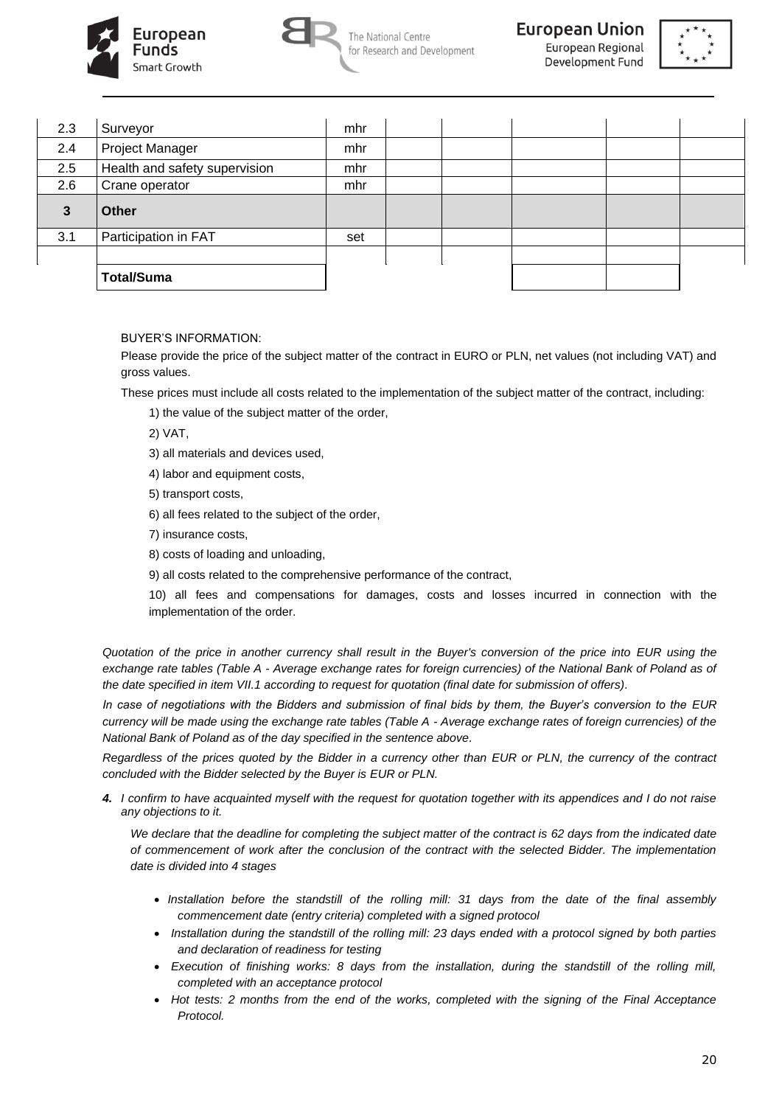



European Regional Development Fund



| 2.3 | Surveyor                      | mhr |  |  |  |
|-----|-------------------------------|-----|--|--|--|
| 2.4 | Project Manager               | mhr |  |  |  |
| 2.5 | Health and safety supervision | mhr |  |  |  |
| 2.6 | Crane operator                | mhr |  |  |  |
|     |                               |     |  |  |  |
| 3   | <b>Other</b>                  |     |  |  |  |
| 3.1 | Participation in FAT          | set |  |  |  |
|     |                               |     |  |  |  |

### BUYER'S INFORMATION:

Please provide the price of the subject matter of the contract in EURO or PLN, net values (not including VAT) and gross values.

These prices must include all costs related to the implementation of the subject matter of the contract, including:

- 1) the value of the subject matter of the order,
- 2) VAT,
- 3) all materials and devices used,
- 4) labor and equipment costs,
- 5) transport costs,
- 6) all fees related to the subject of the order,
- 7) insurance costs,
- 8) costs of loading and unloading,
- 9) all costs related to the comprehensive performance of the contract,

10) all fees and compensations for damages, costs and losses incurred in connection with the implementation of the order.

*Quotation of the price in another currency shall result in the Buyer's conversion of the price into EUR using the exchange rate tables (Table A - Average exchange rates for foreign currencies) of the National Bank of Poland as of the date specified in item VII.1 according to request for quotation (final date for submission of offers).* 

*In case of negotiations with the Bidders and submission of final bids by them, the Buyer's conversion to the EUR currency will be made using the exchange rate tables (Table A - Average exchange rates of foreign currencies) of the National Bank of Poland as of the day specified in the sentence above.*

*Regardless of the prices quoted by the Bidder in a currency other than EUR or PLN, the currency of the contract concluded with the Bidder selected by the Buyer is EUR or PLN.* 

*4. I confirm to have acquainted myself with the request for quotation together with its appendices and I do not raise any objections to it.*

*We declare that the deadline for completing the subject matter of the contract is 62 days from the indicated date of commencement of work after the conclusion of the contract with the selected Bidder. The implementation date is divided into 4 stages*

- *Installation before the standstill of the rolling mill: 31 days from the date of the final assembly commencement date (entry criteria) completed with a signed protocol*
- *Installation during the standstill of the rolling mill: 23 days ended with a protocol signed by both parties and declaration of readiness for testing*
- *Execution of finishing works: 8 days from the installation, during the standstill of the rolling mill, completed with an acceptance protocol*
- *Hot tests: 2 months from the end of the works, completed with the signing of the Final Acceptance Protocol.*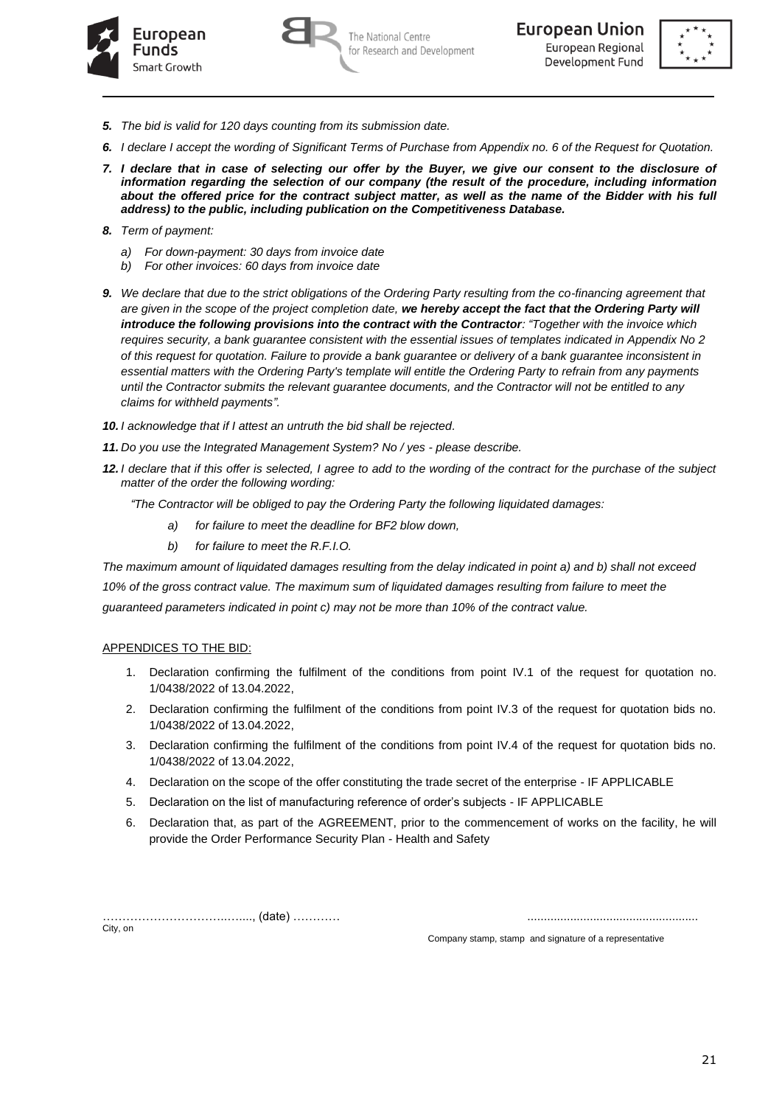

The National Centre for Research and Development



- *5. The bid is valid for 120 days counting from its submission date.*
- *6. I declare I accept the wording of Significant Terms of Purchase from Appendix no. 6 of the Request for Quotation.*
- *7. I declare that in case of selecting our offer by the Buyer, we give our consent to the disclosure of information regarding the selection of our company (the result of the procedure, including information about the offered price for the contract subject matter, as well as the name of the Bidder with his full address) to the public, including publication on the Competitiveness Database.*
- *8. Term of payment:* 
	- *a) For down-payment: 30 days from invoice date*
	- *b) For other invoices: 60 days from invoice date*
- *9. We declare that due to the strict obligations of the Ordering Party resulting from the co-financing agreement that are given in the scope of the project completion date, we hereby accept the fact that the Ordering Party will introduce the following provisions into the contract with the Contractor: "Together with the invoice which requires security, a bank guarantee consistent with the essential issues of templates indicated in Appendix No 2 of this request for quotation. Failure to provide a bank guarantee or delivery of a bank guarantee inconsistent in essential matters with the Ordering Party's template will entitle the Ordering Party to refrain from any payments until the Contractor submits the relevant guarantee documents, and the Contractor will not be entitled to any claims for withheld payments".*
- *10. I acknowledge that if I attest an untruth the bid shall be rejected.*
- *11. Do you use the Integrated Management System? No / yes - please describe.*
- *12. I declare that if this offer is selected, I agree to add to the wording of the contract for the purchase of the subject matter of the order the following wording:*
	- *"The Contractor will be obliged to pay the Ordering Party the following liquidated damages:*
		- *a) for failure to meet the deadline for BF2 blow down,*
		- *b) for failure to meet the R.F.I.O.*

*The maximum amount of liquidated damages resulting from the delay indicated in point a) and b) shall not exceed 10% of the gross contract value. The maximum sum of liquidated damages resulting from failure to meet the guaranteed parameters indicated in point c) may not be more than 10% of the contract value.*

## APPENDICES TO THE BID:

- 1. Declaration confirming the fulfilment of the conditions from point IV.1 of the request for quotation no. 1/0438/2022 of 13.04.2022,
- 2. Declaration confirming the fulfilment of the conditions from point IV.3 of the request for quotation bids no. 1/0438/2022 of 13.04.2022,
- 3. Declaration confirming the fulfilment of the conditions from point IV.4 of the request for quotation bids no. 1/0438/2022 of 13.04.2022,
- 4. Declaration on the scope of the offer constituting the trade secret of the enterprise IF APPLICABLE
- 5. Declaration on the list of manufacturing reference of order's subjects IF APPLICABLE
- 6. Declaration that, as part of the AGREEMENT, prior to the commencement of works on the facility, he will provide the Order Performance Security Plan - Health and Safety

…………………………..…...., (date) ………… ....................................................

City, on

Company stamp, stamp and signature of a representative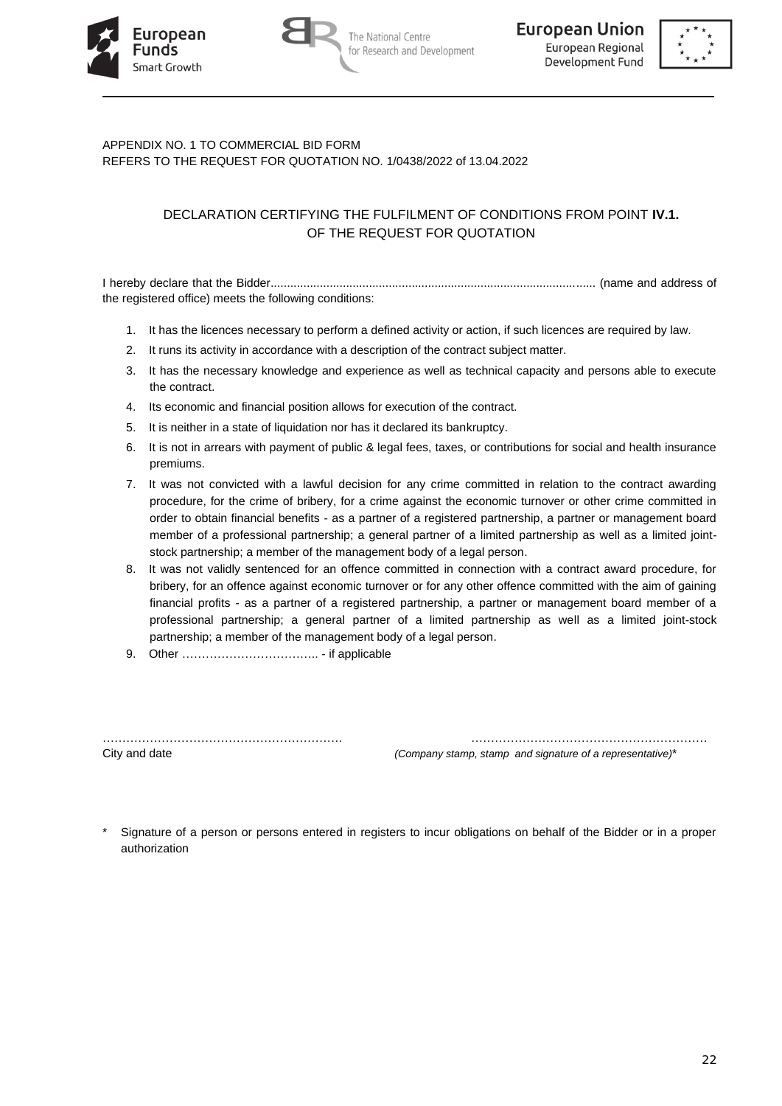





# APPENDIX NO. 1 TO COMMERCIAL BID FORM REFERS TO THE REQUEST FOR QUOTATION NO. 1/0438/2022 of 13.04.2022

# DECLARATION CERTIFYING THE FULFILMENT OF CONDITIONS FROM POINT **IV.1.** OF THE REQUEST FOR QUOTATION

I hereby declare that the Bidder................................................................................................... (name and address of the registered office) meets the following conditions:

- 1. It has the licences necessary to perform a defined activity or action, if such licences are required by law.
- 2. It runs its activity in accordance with a description of the contract subject matter.
- 3. It has the necessary knowledge and experience as well as technical capacity and persons able to execute the contract.
- 4. Its economic and financial position allows for execution of the contract.
- 5. It is neither in a state of liquidation nor has it declared its bankruptcy.
- 6. It is not in arrears with payment of public & legal fees, taxes, or contributions for social and health insurance premiums.
- 7. It was not convicted with a lawful decision for any crime committed in relation to the contract awarding procedure, for the crime of bribery, for a crime against the economic turnover or other crime committed in order to obtain financial benefits - as a partner of a registered partnership, a partner or management board member of a professional partnership; a general partner of a limited partnership as well as a limited jointstock partnership; a member of the management body of a legal person.
- 8. It was not validly sentenced for an offence committed in connection with a contract award procedure, for bribery, for an offence against economic turnover or for any other offence committed with the aim of gaining financial profits - as a partner of a registered partnership, a partner or management board member of a professional partnership; a general partner of a limited partnership as well as a limited joint-stock partnership; a member of the management body of a legal person.
- 9. Other …………………………….. if applicable

City and date *(Company stamp, stamp and signature of a representative)*\*

Signature of a person or persons entered in registers to incur obligations on behalf of the Bidder or in a proper authorization

……………………………………………………. ……………………………………………………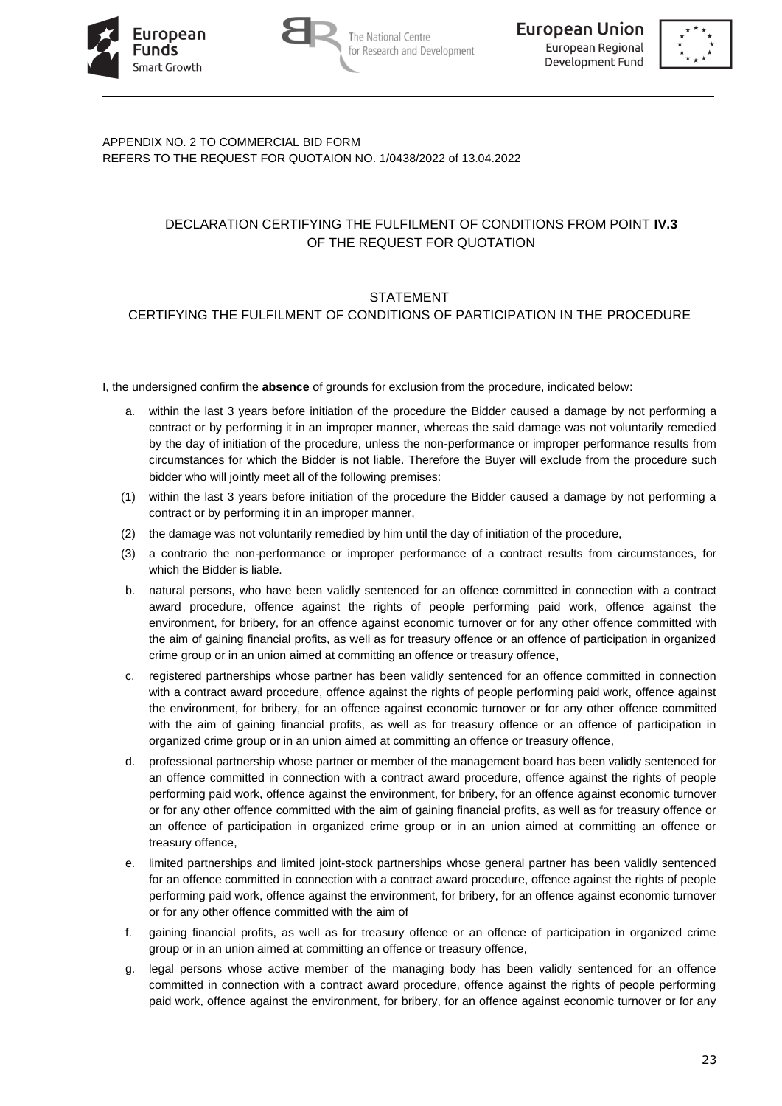





# APPENDIX NO. 2 TO COMMERCIAL BID FORM REFERS TO THE REQUEST FOR QUOTAION NO. 1/0438/2022 of 13.04.2022

# DECLARATION CERTIFYING THE FULFILMENT OF CONDITIONS FROM POINT **IV.3** OF THE REQUEST FOR QUOTATION

# **STATEMENT**

# CERTIFYING THE FULFILMENT OF CONDITIONS OF PARTICIPATION IN THE PROCEDURE

I, the undersigned confirm the **absence** of grounds for exclusion from the procedure, indicated below:

- a. within the last 3 years before initiation of the procedure the Bidder caused a damage by not performing a contract or by performing it in an improper manner, whereas the said damage was not voluntarily remedied by the day of initiation of the procedure, unless the non-performance or improper performance results from circumstances for which the Bidder is not liable. Therefore the Buyer will exclude from the procedure such bidder who will jointly meet all of the following premises:
- (1) within the last 3 years before initiation of the procedure the Bidder caused a damage by not performing a contract or by performing it in an improper manner,
- (2) the damage was not voluntarily remedied by him until the day of initiation of the procedure,
- (3) a contrario the non-performance or improper performance of a contract results from circumstances, for which the Bidder is liable.
- b. natural persons, who have been validly sentenced for an offence committed in connection with a contract award procedure, offence against the rights of people performing paid work, offence against the environment, for bribery, for an offence against economic turnover or for any other offence committed with the aim of gaining financial profits, as well as for treasury offence or an offence of participation in organized crime group or in an union aimed at committing an offence or treasury offence,
- c. registered partnerships whose partner has been validly sentenced for an offence committed in connection with a contract award procedure, offence against the rights of people performing paid work, offence against the environment, for bribery, for an offence against economic turnover or for any other offence committed with the aim of gaining financial profits, as well as for treasury offence or an offence of participation in organized crime group or in an union aimed at committing an offence or treasury offence,
- d. professional partnership whose partner or member of the management board has been validly sentenced for an offence committed in connection with a contract award procedure, offence against the rights of people performing paid work, offence against the environment, for bribery, for an offence against economic turnover or for any other offence committed with the aim of gaining financial profits, as well as for treasury offence or an offence of participation in organized crime group or in an union aimed at committing an offence or treasury offence,
- e. limited partnerships and limited joint-stock partnerships whose general partner has been validly sentenced for an offence committed in connection with a contract award procedure, offence against the rights of people performing paid work, offence against the environment, for bribery, for an offence against economic turnover or for any other offence committed with the aim of
- f. gaining financial profits, as well as for treasury offence or an offence of participation in organized crime group or in an union aimed at committing an offence or treasury offence,
- g. legal persons whose active member of the managing body has been validly sentenced for an offence committed in connection with a contract award procedure, offence against the rights of people performing paid work, offence against the environment, for bribery, for an offence against economic turnover or for any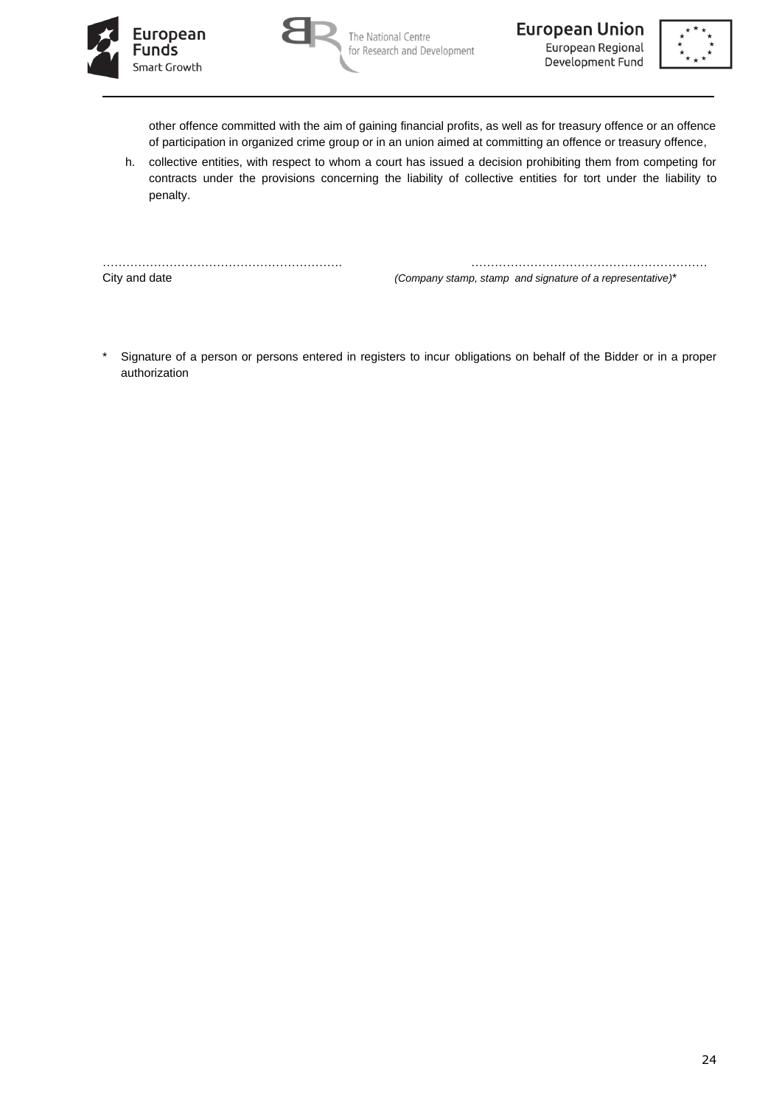



The National Centre for Research and Development **European Union** European Regional Development Fund



other offence committed with the aim of gaining financial profits, as well as for treasury offence or an offence of participation in organized crime group or in an union aimed at committing an offence or treasury offence,

h. collective entities, with respect to whom a court has issued a decision prohibiting them from competing for contracts under the provisions concerning the liability of collective entities for tort under the liability to penalty.

……………………………………………………. ……………………………………………………

City and date *(Company stamp, stamp and signature of a representative)*\*

\* Signature of a person or persons entered in registers to incur obligations on behalf of the Bidder or in a proper authorization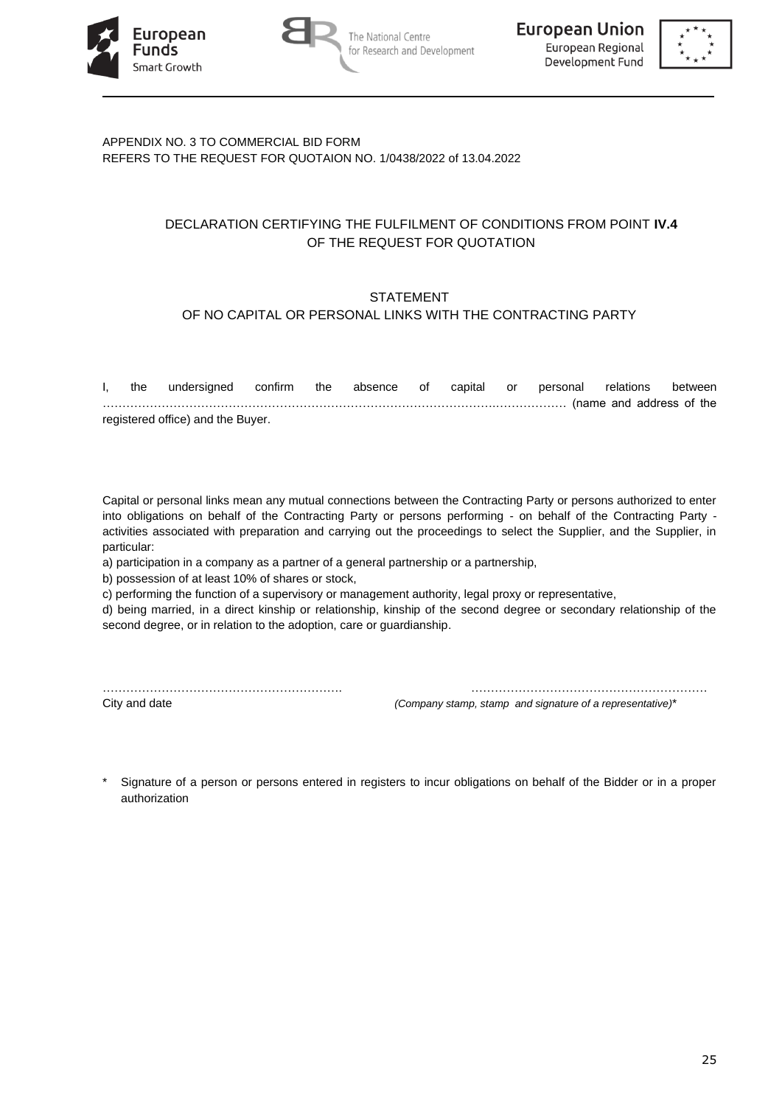





# APPENDIX NO. 3 TO COMMERCIAL BID FORM REFERS TO THE REQUEST FOR QUOTAION NO. 1/0438/2022 of 13.04.2022

# DECLARATION CERTIFYING THE FULFILMENT OF CONDITIONS FROM POINT **IV.4** OF THE REQUEST FOR QUOTATION

# **STATEMENT**

# OF NO CAPITAL OR PERSONAL LINKS WITH THE CONTRACTING PARTY

| the | undersigned confirm the           |  |  |  | absence of capital or personal relations between |  |
|-----|-----------------------------------|--|--|--|--------------------------------------------------|--|
|     |                                   |  |  |  |                                                  |  |
|     | registered office) and the Buyer. |  |  |  |                                                  |  |

Capital or personal links mean any mutual connections between the Contracting Party or persons authorized to enter into obligations on behalf of the Contracting Party or persons performing - on behalf of the Contracting Party activities associated with preparation and carrying out the proceedings to select the Supplier, and the Supplier, in particular:

a) participation in a company as a partner of a general partnership or a partnership,

b) possession of at least 10% of shares or stock,

c) performing the function of a supervisory or management authority, legal proxy or representative,

d) being married, in a direct kinship or relationship, kinship of the second degree or secondary relationship of the second degree, or in relation to the adoption, care or guardianship.

……………………………………………………. …………………………………………………… City and date *(Company stamp, stamp and signature of a representative)*\*

Signature of a person or persons entered in registers to incur obligations on behalf of the Bidder or in a proper authorization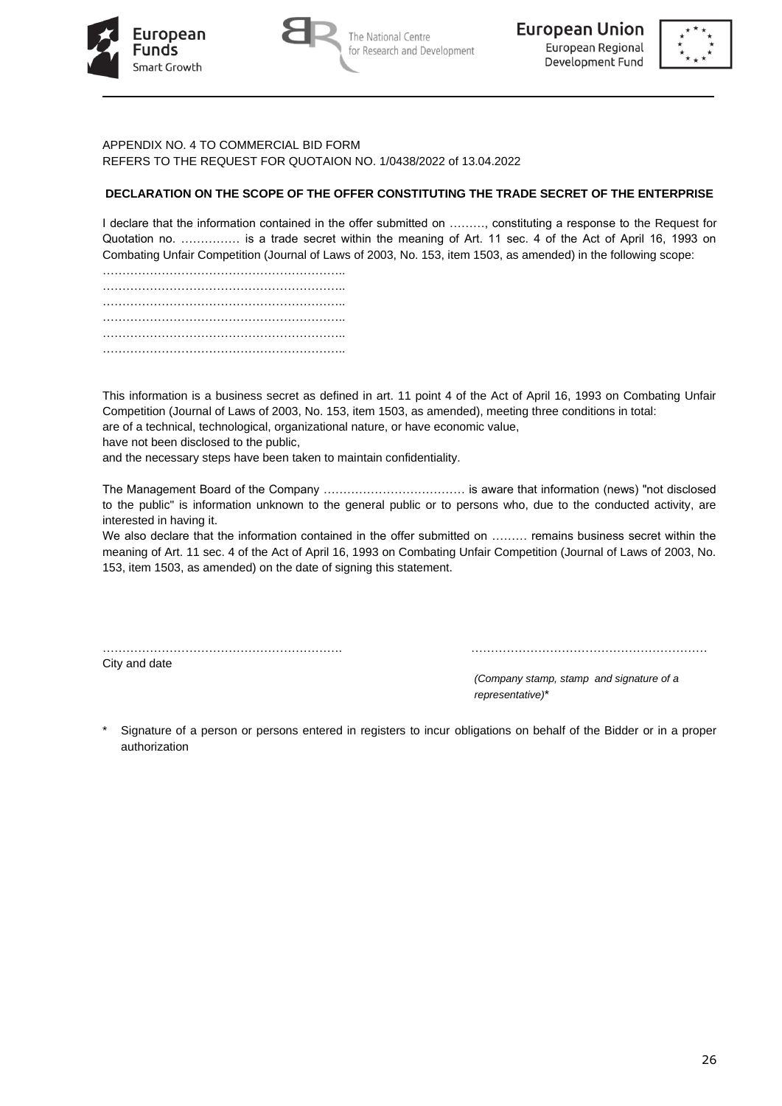





#### APPENDIX NO. 4 TO COMMERCIAL BID FORM REFERS TO THE REQUEST FOR QUOTAION NO. 1/0438/2022 of 13.04.2022

# **DECLARATION ON THE SCOPE OF THE OFFER CONSTITUTING THE TRADE SECRET OF THE ENTERPRISE**

I declare that the information contained in the offer submitted on ………, constituting a response to the Request for Quotation no. …………… is a trade secret within the meaning of Art. 11 sec. 4 of the Act of April 16, 1993 on Combating Unfair Competition (Journal of Laws of 2003, No. 153, item 1503, as amended) in the following scope:

This information is a business secret as defined in art. 11 point 4 of the Act of April 16, 1993 on Combating Unfair Competition (Journal of Laws of 2003, No. 153, item 1503, as amended), meeting three conditions in total: are of a technical, technological, organizational nature, or have economic value,

have not been disclosed to the public,

and the necessary steps have been taken to maintain confidentiality.

The Management Board of the Company ……………………………… is aware that information (news) "not disclosed to the public" is information unknown to the general public or to persons who, due to the conducted activity, are interested in having it.

We also declare that the information contained in the offer submitted on ……… remains business secret within the meaning of Art. 11 sec. 4 of the Act of April 16, 1993 on Combating Unfair Competition (Journal of Laws of 2003, No. 153, item 1503, as amended) on the date of signing this statement.

City and date

……………………………………………………. ……………………………………………………

*(Company stamp, stamp and signature of a representative)*\*

Signature of a person or persons entered in registers to incur obligations on behalf of the Bidder or in a proper authorization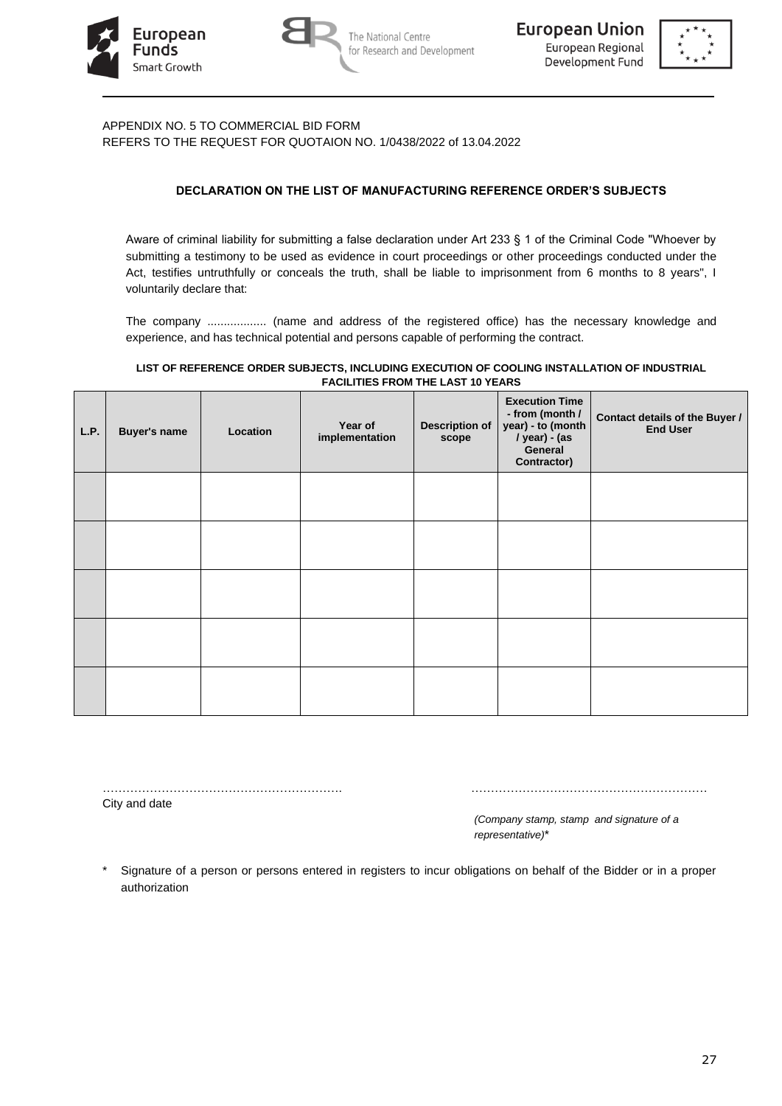





APPENDIX NO. 5 TO COMMERCIAL BID FORM REFERS TO THE REQUEST FOR QUOTAION NO. 1/0438/2022 of 13.04.2022

# **DECLARATION ON THE LIST OF MANUFACTURING REFERENCE ORDER'S SUBJECTS**

Aware of criminal liability for submitting a false declaration under Art 233 § 1 of the Criminal Code "Whoever by submitting a testimony to be used as evidence in court proceedings or other proceedings conducted under the Act, testifies untruthfully or conceals the truth, shall be liable to imprisonment from 6 months to 8 years", I voluntarily declare that:

The company .................. (name and address of the registered office) has the necessary knowledge and experience, and has technical potential and persons capable of performing the contract.

#### **LIST OF REFERENCE ORDER SUBJECTS, INCLUDING EXECUTION OF COOLING INSTALLATION OF INDUSTRIAL FACILITIES FROM THE LAST 10 YEARS**

| L.P. | <b>Buyer's name</b> | Location | Year of<br>implementation | <b>Description of</b><br>scope | <b>Execution Time</b><br>- from (month /<br>year) - to (month<br>/ year) - (as<br>General<br>Contractor) | Contact details of the Buyer /<br><b>End User</b> |
|------|---------------------|----------|---------------------------|--------------------------------|----------------------------------------------------------------------------------------------------------|---------------------------------------------------|
|      |                     |          |                           |                                |                                                                                                          |                                                   |
|      |                     |          |                           |                                |                                                                                                          |                                                   |
|      |                     |          |                           |                                |                                                                                                          |                                                   |
|      |                     |          |                           |                                |                                                                                                          |                                                   |
|      |                     |          |                           |                                |                                                                                                          |                                                   |

……………………………………………………. ……………………………………………………

City and date

*(Company stamp, stamp and signature of a representative)*\*

Signature of a person or persons entered in registers to incur obligations on behalf of the Bidder or in a proper authorization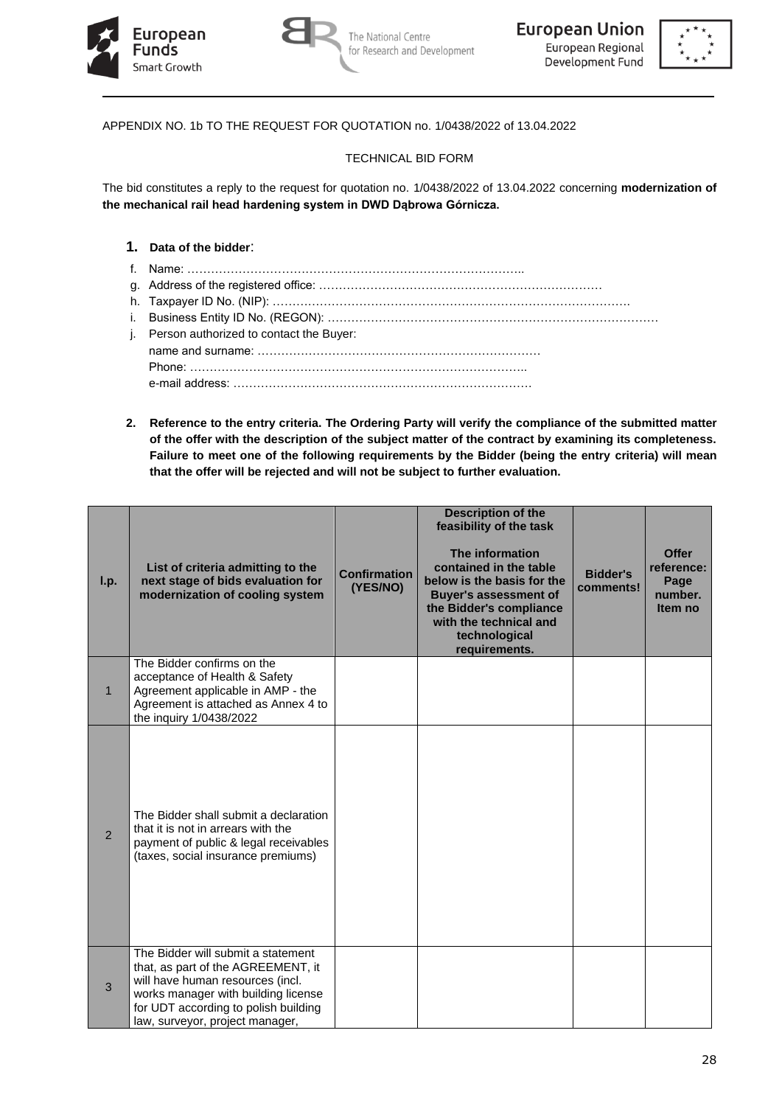





APPENDIX NO. 1b TO THE REQUEST FOR QUOTATION no. 1/0438/2022 of 13.04.2022

# TECHNICAL BID FORM

The bid constitutes a reply to the request for quotation no. 1/0438/2022 of 13.04.2022 concerning **modernization of the mechanical rail head hardening system in DWD Dąbrowa Górnicza.**

# **1. Data of the bidder**:

- f. Name: …………………………………………………………………………..
- g. Address of the registered office: ………………………………………………………………
- h. Taxpayer ID No. (NIP): ……………………………………………………………………………….
- i. Business Entity ID No. (REGON): …………………………………………………………………………
- j. Person authorized to contact the Buyer: name and surname: ……………………………………………………………… Phone: ………………………………………………………………………….. e-mail address: ………………………………………………………………….
- **2. Reference to the entry criteria. The Ordering Party will verify the compliance of the submitted matter of the offer with the description of the subject matter of the contract by examining its completeness. Failure to meet one of the following requirements by the Bidder (being the entry criteria) will mean that the offer will be rejected and will not be subject to further evaluation.**

| I.p.           | List of criteria admitting to the<br>next stage of bids evaluation for<br>modernization of cooling system                                                                                                                      | <b>Confirmation</b><br>(YES/NO) | <b>Description of the</b><br>feasibility of the task<br>The information<br>contained in the table<br>below is the basis for the<br><b>Buyer's assessment of</b><br>the Bidder's compliance<br>with the technical and<br>technological<br>requirements. | <b>Bidder's</b><br>comments! | <b>Offer</b><br>reference:<br>Page<br>number.<br>Item no |
|----------------|--------------------------------------------------------------------------------------------------------------------------------------------------------------------------------------------------------------------------------|---------------------------------|--------------------------------------------------------------------------------------------------------------------------------------------------------------------------------------------------------------------------------------------------------|------------------------------|----------------------------------------------------------|
| $\mathbf{1}$   | The Bidder confirms on the<br>acceptance of Health & Safety<br>Agreement applicable in AMP - the<br>Agreement is attached as Annex 4 to<br>the inquiry 1/0438/2022                                                             |                                 |                                                                                                                                                                                                                                                        |                              |                                                          |
| $\overline{2}$ | The Bidder shall submit a declaration<br>that it is not in arrears with the<br>payment of public & legal receivables<br>(taxes, social insurance premiums)                                                                     |                                 |                                                                                                                                                                                                                                                        |                              |                                                          |
| $\mathfrak{B}$ | The Bidder will submit a statement<br>that, as part of the AGREEMENT, it<br>will have human resources (incl.<br>works manager with building license<br>for UDT according to polish building<br>law, surveyor, project manager, |                                 |                                                                                                                                                                                                                                                        |                              |                                                          |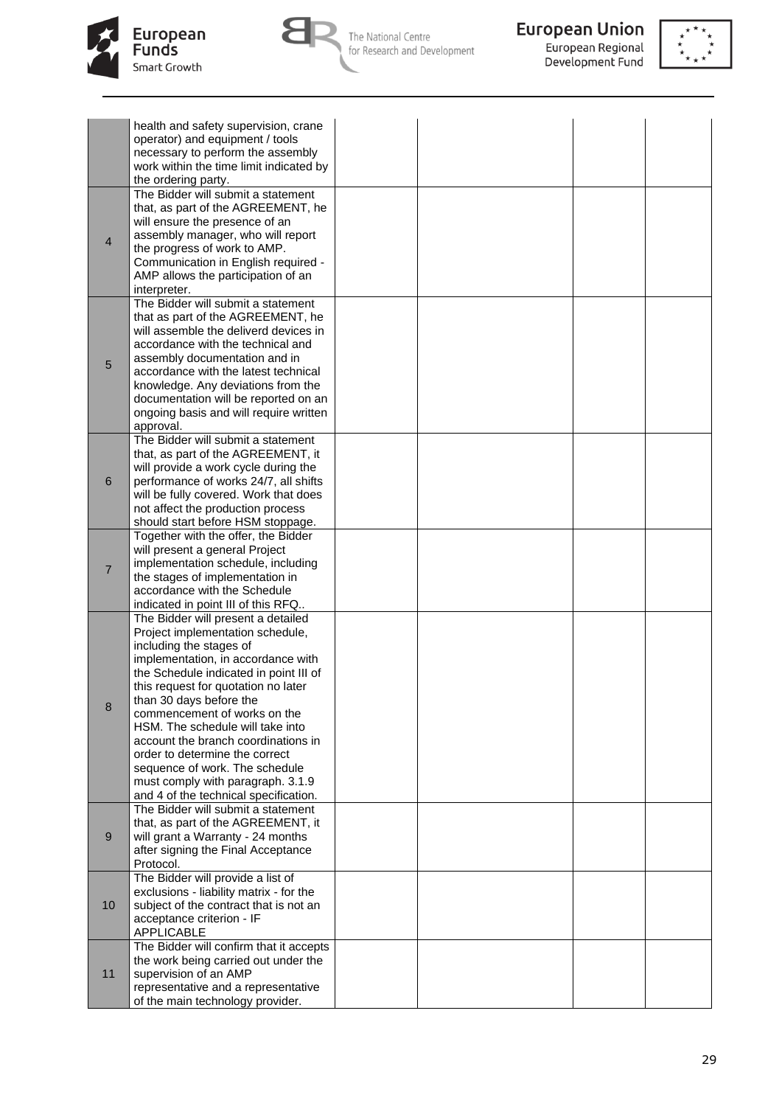



**European Union**<br>European Regional<br>Development Fund



|                | health and safety supervision, crane                                  |  |  |
|----------------|-----------------------------------------------------------------------|--|--|
|                | operator) and equipment / tools                                       |  |  |
|                | necessary to perform the assembly                                     |  |  |
|                | work within the time limit indicated by                               |  |  |
|                | the ordering party.                                                   |  |  |
|                | The Bidder will submit a statement                                    |  |  |
|                | that, as part of the AGREEMENT, he                                    |  |  |
|                | will ensure the presence of an                                        |  |  |
| $\overline{4}$ | assembly manager, who will report                                     |  |  |
|                | the progress of work to AMP.                                          |  |  |
|                | Communication in English required -                                   |  |  |
|                | AMP allows the participation of an                                    |  |  |
|                | interpreter.                                                          |  |  |
|                | The Bidder will submit a statement                                    |  |  |
|                | that as part of the AGREEMENT, he                                     |  |  |
|                | will assemble the deliverd devices in                                 |  |  |
|                | accordance with the technical and                                     |  |  |
| $\sqrt{5}$     | assembly documentation and in                                         |  |  |
|                | accordance with the latest technical                                  |  |  |
|                | knowledge. Any deviations from the                                    |  |  |
|                | documentation will be reported on an                                  |  |  |
|                | ongoing basis and will require written                                |  |  |
|                | approval.<br>The Bidder will submit a statement                       |  |  |
|                | that, as part of the AGREEMENT, it                                    |  |  |
|                | will provide a work cycle during the                                  |  |  |
| 6              | performance of works 24/7, all shifts                                 |  |  |
|                | will be fully covered. Work that does                                 |  |  |
|                | not affect the production process                                     |  |  |
|                | should start before HSM stoppage.                                     |  |  |
|                | Together with the offer, the Bidder                                   |  |  |
|                | will present a general Project                                        |  |  |
|                | implementation schedule, including                                    |  |  |
| $\overline{7}$ | the stages of implementation in                                       |  |  |
|                | accordance with the Schedule                                          |  |  |
|                | indicated in point III of this RFQ                                    |  |  |
|                | The Bidder will present a detailed                                    |  |  |
|                | Project implementation schedule,                                      |  |  |
|                | including the stages of                                               |  |  |
|                | implementation, in accordance with                                    |  |  |
|                | the Schedule indicated in point III of                                |  |  |
|                | this request for quotation no later                                   |  |  |
| $\bf 8$        | than 30 days before the                                               |  |  |
|                | commencement of works on the                                          |  |  |
|                | HSM. The schedule will take into                                      |  |  |
|                | account the branch coordinations in<br>order to determine the correct |  |  |
|                | sequence of work. The schedule                                        |  |  |
|                | must comply with paragraph. 3.1.9                                     |  |  |
|                | and 4 of the technical specification.                                 |  |  |
|                | The Bidder will submit a statement                                    |  |  |
|                | that, as part of the AGREEMENT, it                                    |  |  |
| 9              | will grant a Warranty - 24 months                                     |  |  |
|                | after signing the Final Acceptance                                    |  |  |
|                | Protocol.                                                             |  |  |
|                | The Bidder will provide a list of                                     |  |  |
|                | exclusions - liability matrix - for the                               |  |  |
| 10             | subject of the contract that is not an                                |  |  |
|                | acceptance criterion - IF                                             |  |  |
|                | <b>APPLICABLE</b>                                                     |  |  |
|                | The Bidder will confirm that it accepts                               |  |  |
|                | the work being carried out under the                                  |  |  |
| 11             | supervision of an AMP                                                 |  |  |
|                | representative and a representative                                   |  |  |
|                | of the main technology provider.                                      |  |  |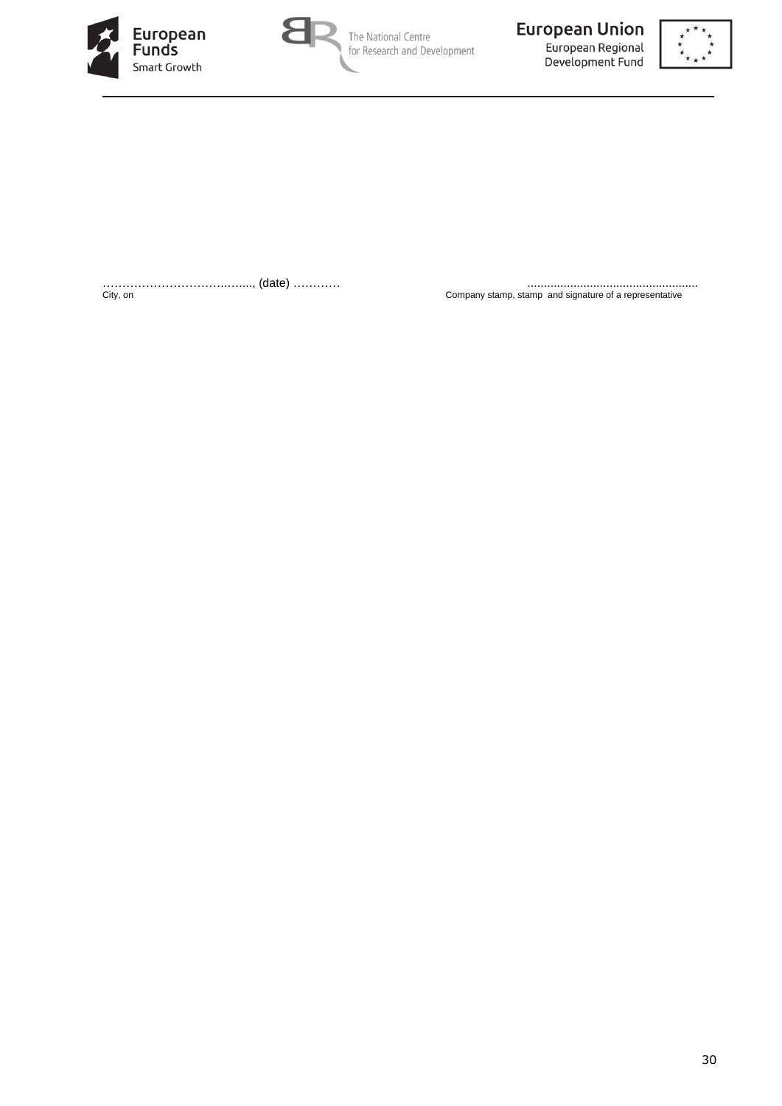





…………………………..…...., (date) ………… ....................................................

City, on Company stamp, stamp and signature of a representative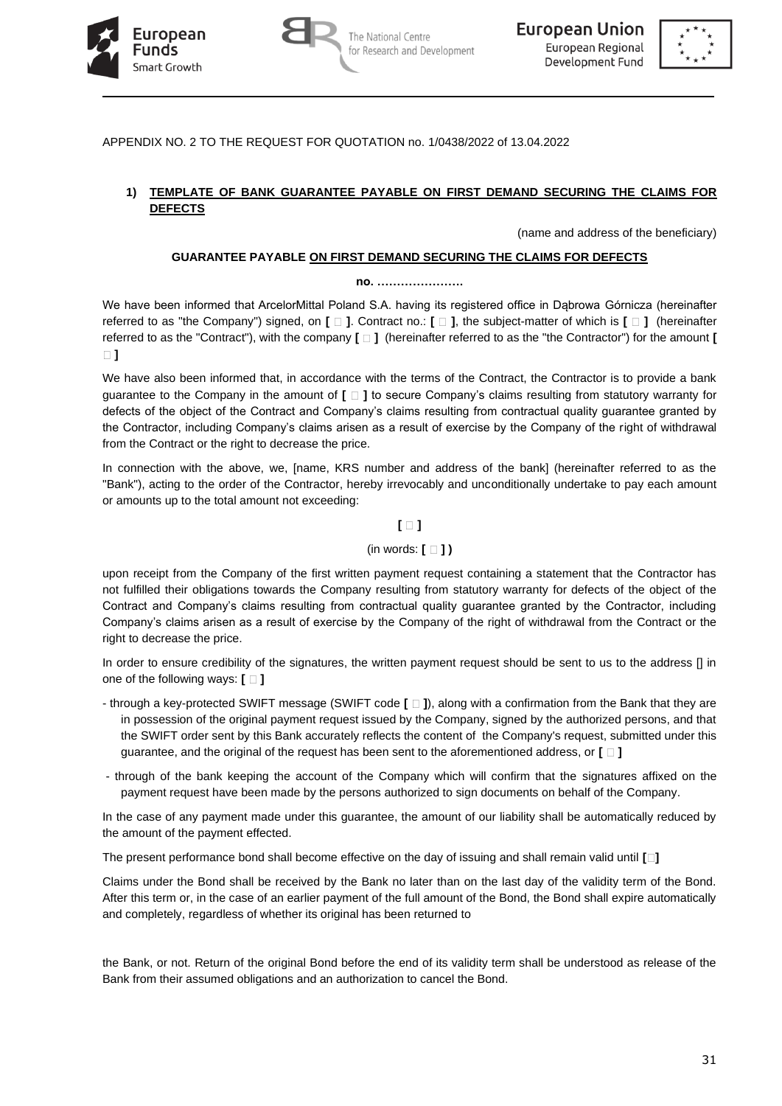





APPENDIX NO. 2 TO THE REQUEST FOR QUOTATION no. 1/0438/2022 of 13.04.2022

# **1) TEMPLATE OF BANK GUARANTEE PAYABLE ON FIRST DEMAND SECURING THE CLAIMS FOR DEFECTS**

(name and address of the beneficiary)

### **GUARANTEE PAYABLE ON FIRST DEMAND SECURING THE CLAIMS FOR DEFECTS**

#### **no. ………………….**

We have been informed that ArcelorMittal Poland S.A. having its registered office in Dąbrowa Górnicza (hereinafter referred to as "the Company") signed, on **[ ]**. Contract no.: **[ ]**, the subject-matter of which is **[ ]** (hereinafter referred to as the "Contract"), with the company **[ ]** (hereinafter referred to as the "the Contractor") for the amount **[ ]**

We have also been informed that, in accordance with the terms of the Contract, the Contractor is to provide a bank guarantee to the Company in the amount of **[ ]** to secure Company's claims resulting from statutory warranty for defects of the object of the Contract and Company's claims resulting from contractual quality guarantee granted by the Contractor, including Company's claims arisen as a result of exercise by the Company of the right of withdrawal from the Contract or the right to decrease the price.

In connection with the above, we, [name, KRS number and address of the bank] (hereinafter referred to as the "Bank"), acting to the order of the Contractor, hereby irrevocably and unconditionally undertake to pay each amount or amounts up to the total amount not exceeding:

## **[ ]**

### (in words: **[ ] )**

upon receipt from the Company of the first written payment request containing a statement that the Contractor has not fulfilled their obligations towards the Company resulting from statutory warranty for defects of the object of the Contract and Company's claims resulting from contractual quality guarantee granted by the Contractor, including Company's claims arisen as a result of exercise by the Company of the right of withdrawal from the Contract or the right to decrease the price.

In order to ensure credibility of the signatures, the written payment request should be sent to us to the address [] in one of the following ways:  $\Box$  ]

- through a key-protected SWIFT message (SWIFT code **[ ]**), along with a confirmation from the Bank that they are in possession of the original payment request issued by the Company, signed by the authorized persons, and that the SWIFT order sent by this Bank accurately reflects the content of the Company's request, submitted under this guarantee, and the original of the request has been sent to the aforementioned address, or **[ ]**
- through of the bank keeping the account of the Company which will confirm that the signatures affixed on the payment request have been made by the persons authorized to sign documents on behalf of the Company.

In the case of any payment made under this guarantee, the amount of our liability shall be automatically reduced by the amount of the payment effected.

The present performance bond shall become effective on the day of issuing and shall remain valid until **[ ]**

Claims under the Bond shall be received by the Bank no later than on the last day of the validity term of the Bond. After this term or, in the case of an earlier payment of the full amount of the Bond, the Bond shall expire automatically and completely, regardless of whether its original has been returned to

the Bank, or not. Return of the original Bond before the end of its validity term shall be understood as release of the Bank from their assumed obligations and an authorization to cancel the Bond.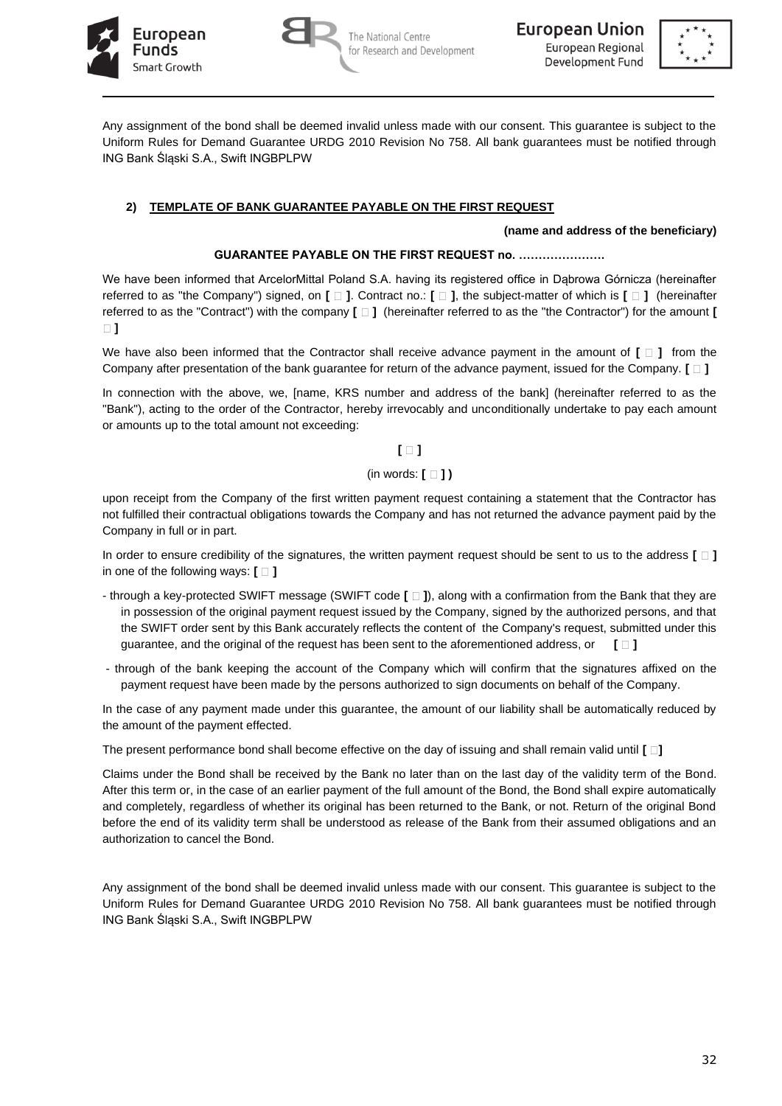





Any assignment of the bond shall be deemed invalid unless made with our consent. This guarantee is subject to the Uniform Rules for Demand Guarantee URDG 2010 Revision No 758. All bank guarantees must be notified through ING Bank Śląski S.A., Swift INGBPLPW

# **2) TEMPLATE OF BANK GUARANTEE PAYABLE ON THE FIRST REQUEST**

### **(name and address of the beneficiary)**

### **GUARANTEE PAYABLE ON THE FIRST REQUEST no. ………………….**

We have been informed that ArcelorMittal Poland S.A. having its registered office in Dąbrowa Górnicza (hereinafter referred to as "the Company") signed, on **[ ]**. Contract no.: **[ ]**, the subject-matter of which is **[ ]** (hereinafter referred to as the "Contract") with the company **[** $\Box$ ] (hereinafter referred to as the "the Contractor") for the amount **[ ]**

We have also been informed that the Contractor shall receive advance payment in the amount of  $[\Box]$  from the Company after presentation of the bank guarantee for return of the advance payment, issued for the Company. **[ ]**

In connection with the above, we, [name, KRS number and address of the bank] (hereinafter referred to as the "Bank"), acting to the order of the Contractor, hereby irrevocably and unconditionally undertake to pay each amount or amounts up to the total amount not exceeding:

**[ ]**

## (in words: **[ ] )**

upon receipt from the Company of the first written payment request containing a statement that the Contractor has not fulfilled their contractual obligations towards the Company and has not returned the advance payment paid by the Company in full or in part.

In order to ensure credibility of the signatures, the written payment request should be sent to us to the address **[ ]** in one of the following ways:  $\mathbf{f} \cap \mathbf{1}$ 

- through a key-protected SWIFT message (SWIFT code **[ ]**), along with a confirmation from the Bank that they are in possession of the original payment request issued by the Company, signed by the authorized persons, and that the SWIFT order sent by this Bank accurately reflects the content of the Company's request, submitted under this guarantee, and the original of the request has been sent to the aforementioned address, or **[ ]**
- through of the bank keeping the account of the Company which will confirm that the signatures affixed on the payment request have been made by the persons authorized to sign documents on behalf of the Company.

In the case of any payment made under this guarantee, the amount of our liability shall be automatically reduced by the amount of the payment effected.

The present performance bond shall become effective on the day of issuing and shall remain valid until **[ ]**

Claims under the Bond shall be received by the Bank no later than on the last day of the validity term of the Bond. After this term or, in the case of an earlier payment of the full amount of the Bond, the Bond shall expire automatically and completely, regardless of whether its original has been returned to the Bank, or not. Return of the original Bond before the end of its validity term shall be understood as release of the Bank from their assumed obligations and an authorization to cancel the Bond.

Any assignment of the bond shall be deemed invalid unless made with our consent. This guarantee is subject to the Uniform Rules for Demand Guarantee URDG 2010 Revision No 758. All bank guarantees must be notified through ING Bank Śląski S.A., Swift INGBPLPW